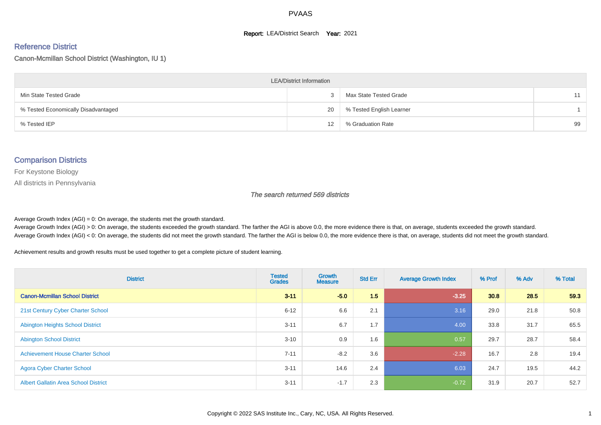#### **Report: LEA/District Search Year: 2021**

#### Reference District

Canon-Mcmillan School District (Washington, IU 1)

| <b>LEA/District Information</b>     |    |                          |    |  |  |  |  |  |  |
|-------------------------------------|----|--------------------------|----|--|--|--|--|--|--|
| Min State Tested Grade              |    | Max State Tested Grade   | 11 |  |  |  |  |  |  |
| % Tested Economically Disadvantaged | 20 | % Tested English Learner |    |  |  |  |  |  |  |
| % Tested IEP                        | 12 | % Graduation Rate        | 99 |  |  |  |  |  |  |

#### Comparison Districts

For Keystone Biology

All districts in Pennsylvania

The search returned 569 districts

Average Growth Index  $(AGI) = 0$ : On average, the students met the growth standard.

Average Growth Index (AGI) > 0: On average, the students exceeded the growth standard. The farther the AGI is above 0.0, the more evidence there is that, on average, students exceeded the growth standard. Average Growth Index (AGI) < 0: On average, the students did not meet the growth standard. The farther the AGI is below 0.0, the more evidence there is that, on average, students did not meet the growth standard.

Achievement results and growth results must be used together to get a complete picture of student learning.

| <b>District</b>                             | <b>Tested</b><br><b>Grades</b> | <b>Growth</b><br><b>Measure</b> | <b>Std Err</b> | <b>Average Growth Index</b> | % Prof | % Adv | % Total |
|---------------------------------------------|--------------------------------|---------------------------------|----------------|-----------------------------|--------|-------|---------|
| <b>Canon-Mcmillan School District</b>       | $3 - 11$                       | $-5.0$                          | 1.5            | $-3.25$                     | 30.8   | 28.5  | 59.3    |
| 21st Century Cyber Charter School           | $6 - 12$                       | 6.6                             | 2.1            | 3.16                        | 29.0   | 21.8  | 50.8    |
| <b>Abington Heights School District</b>     | $3 - 11$                       | 6.7                             | 1.7            | 4.00                        | 33.8   | 31.7  | 65.5    |
| <b>Abington School District</b>             | $3 - 10$                       | 0.9                             | 1.6            | 0.57                        | 29.7   | 28.7  | 58.4    |
| <b>Achievement House Charter School</b>     | $7 - 11$                       | $-8.2$                          | 3.6            | $-2.28$                     | 16.7   | 2.8   | 19.4    |
| <b>Agora Cyber Charter School</b>           | $3 - 11$                       | 14.6                            | 2.4            | 6.03                        | 24.7   | 19.5  | 44.2    |
| <b>Albert Gallatin Area School District</b> | $3 - 11$                       | $-1.7$                          | 2.3            | $-0.72$                     | 31.9   | 20.7  | 52.7    |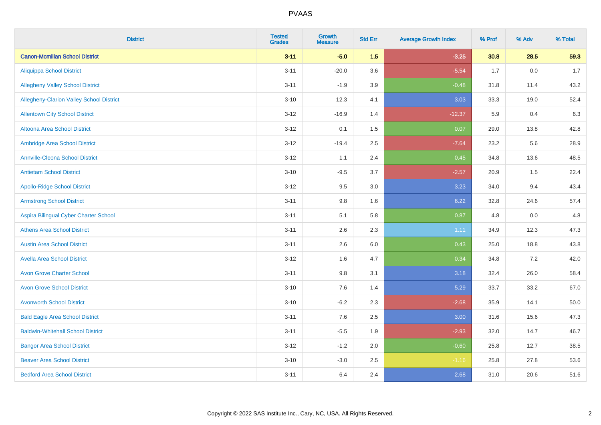| <b>District</b>                          | <b>Tested</b><br><b>Grades</b> | Growth<br><b>Measure</b> | <b>Std Err</b> | <b>Average Growth Index</b> | % Prof | % Adv   | % Total |
|------------------------------------------|--------------------------------|--------------------------|----------------|-----------------------------|--------|---------|---------|
| <b>Canon-Mcmillan School District</b>    | $3 - 11$                       | $-5.0$                   | 1.5            | $-3.25$                     | 30.8   | 28.5    | 59.3    |
| <b>Aliquippa School District</b>         | $3 - 11$                       | $-20.0$                  | 3.6            | $-5.54$                     | 1.7    | $0.0\,$ | $1.7$   |
| <b>Allegheny Valley School District</b>  | $3 - 11$                       | $-1.9$                   | 3.9            | $-0.48$                     | 31.8   | 11.4    | 43.2    |
| Allegheny-Clarion Valley School District | $3 - 10$                       | 12.3                     | 4.1            | 3.03                        | 33.3   | 19.0    | 52.4    |
| <b>Allentown City School District</b>    | $3 - 12$                       | $-16.9$                  | 1.4            | $-12.37$                    | 5.9    | 0.4     | 6.3     |
| <b>Altoona Area School District</b>      | $3 - 12$                       | 0.1                      | 1.5            | 0.07                        | 29.0   | 13.8    | 42.8    |
| Ambridge Area School District            | $3 - 12$                       | $-19.4$                  | 2.5            | $-7.64$                     | 23.2   | 5.6     | 28.9    |
| <b>Annville-Cleona School District</b>   | $3 - 12$                       | 1.1                      | 2.4            | 0.45                        | 34.8   | 13.6    | 48.5    |
| <b>Antietam School District</b>          | $3 - 10$                       | $-9.5$                   | 3.7            | $-2.57$                     | 20.9   | 1.5     | 22.4    |
| <b>Apollo-Ridge School District</b>      | $3 - 12$                       | 9.5                      | 3.0            | 3.23                        | 34.0   | 9.4     | 43.4    |
| <b>Armstrong School District</b>         | $3 - 11$                       | 9.8                      | 1.6            | 6.22                        | 32.8   | 24.6    | 57.4    |
| Aspira Bilingual Cyber Charter School    | $3 - 11$                       | 5.1                      | 5.8            | 0.87                        | 4.8    | 0.0     | 4.8     |
| <b>Athens Area School District</b>       | $3 - 11$                       | 2.6                      | 2.3            | 1.11                        | 34.9   | 12.3    | 47.3    |
| <b>Austin Area School District</b>       | $3 - 11$                       | 2.6                      | 6.0            | 0.43                        | 25.0   | 18.8    | 43.8    |
| <b>Avella Area School District</b>       | $3 - 12$                       | 1.6                      | 4.7            | 0.34                        | 34.8   | 7.2     | 42.0    |
| <b>Avon Grove Charter School</b>         | $3 - 11$                       | 9.8                      | 3.1            | 3.18                        | 32.4   | 26.0    | 58.4    |
| <b>Avon Grove School District</b>        | $3 - 10$                       | 7.6                      | 1.4            | 5.29                        | 33.7   | 33.2    | 67.0    |
| <b>Avonworth School District</b>         | $3 - 10$                       | $-6.2$                   | 2.3            | $-2.68$                     | 35.9   | 14.1    | 50.0    |
| <b>Bald Eagle Area School District</b>   | $3 - 11$                       | 7.6                      | 2.5            | 3.00                        | 31.6   | 15.6    | 47.3    |
| <b>Baldwin-Whitehall School District</b> | $3 - 11$                       | $-5.5$                   | 1.9            | $-2.93$                     | 32.0   | 14.7    | 46.7    |
| <b>Bangor Area School District</b>       | $3 - 12$                       | $-1.2$                   | 2.0            | $-0.60$                     | 25.8   | 12.7    | 38.5    |
| <b>Beaver Area School District</b>       | $3 - 10$                       | $-3.0$                   | 2.5            | $-1.16$                     | 25.8   | 27.8    | 53.6    |
| <b>Bedford Area School District</b>      | $3 - 11$                       | 6.4                      | 2.4            | 2.68                        | 31.0   | 20.6    | 51.6    |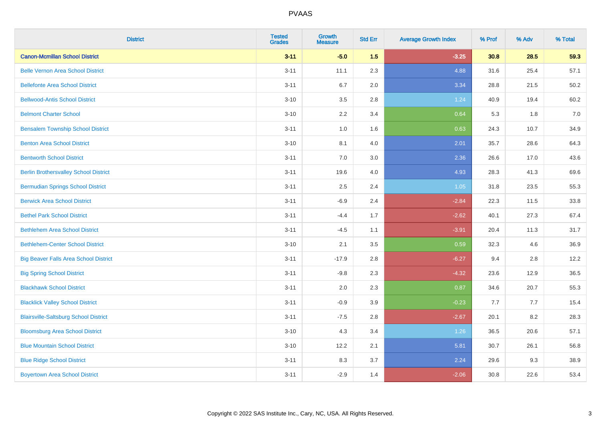| <b>District</b>                              | <b>Tested</b><br><b>Grades</b> | <b>Growth</b><br><b>Measure</b> | <b>Std Err</b> | <b>Average Growth Index</b> | % Prof | % Adv | % Total |
|----------------------------------------------|--------------------------------|---------------------------------|----------------|-----------------------------|--------|-------|---------|
| <b>Canon-Mcmillan School District</b>        | $3 - 11$                       | $-5.0$                          | 1.5            | $-3.25$                     | 30.8   | 28.5  | 59.3    |
| <b>Belle Vernon Area School District</b>     | $3 - 11$                       | 11.1                            | 2.3            | 4.88                        | 31.6   | 25.4  | 57.1    |
| <b>Bellefonte Area School District</b>       | $3 - 11$                       | 6.7                             | 2.0            | 3.34                        | 28.8   | 21.5  | 50.2    |
| <b>Bellwood-Antis School District</b>        | $3 - 10$                       | 3.5                             | 2.8            | 1.24                        | 40.9   | 19.4  | 60.2    |
| <b>Belmont Charter School</b>                | $3 - 10$                       | 2.2                             | 3.4            | 0.64                        | 5.3    | 1.8   | 7.0     |
| <b>Bensalem Township School District</b>     | $3 - 11$                       | $1.0\,$                         | 1.6            | 0.63                        | 24.3   | 10.7  | 34.9    |
| <b>Benton Area School District</b>           | $3 - 10$                       | 8.1                             | 4.0            | 2.01                        | 35.7   | 28.6  | 64.3    |
| <b>Bentworth School District</b>             | $3 - 11$                       | 7.0                             | 3.0            | 2.36                        | 26.6   | 17.0  | 43.6    |
| <b>Berlin Brothersvalley School District</b> | $3 - 11$                       | 19.6                            | 4.0            | 4.93                        | 28.3   | 41.3  | 69.6    |
| <b>Bermudian Springs School District</b>     | $3 - 11$                       | 2.5                             | 2.4            | 1.05                        | 31.8   | 23.5  | 55.3    |
| <b>Berwick Area School District</b>          | $3 - 11$                       | $-6.9$                          | 2.4            | $-2.84$                     | 22.3   | 11.5  | 33.8    |
| <b>Bethel Park School District</b>           | $3 - 11$                       | $-4.4$                          | 1.7            | $-2.62$                     | 40.1   | 27.3  | 67.4    |
| <b>Bethlehem Area School District</b>        | $3 - 11$                       | $-4.5$                          | 1.1            | $-3.91$                     | 20.4   | 11.3  | 31.7    |
| <b>Bethlehem-Center School District</b>      | $3 - 10$                       | 2.1                             | 3.5            | 0.59                        | 32.3   | 4.6   | 36.9    |
| <b>Big Beaver Falls Area School District</b> | $3 - 11$                       | $-17.9$                         | 2.8            | $-6.27$                     | 9.4    | 2.8   | 12.2    |
| <b>Big Spring School District</b>            | $3 - 11$                       | $-9.8$                          | 2.3            | $-4.32$                     | 23.6   | 12.9  | 36.5    |
| <b>Blackhawk School District</b>             | $3 - 11$                       | 2.0                             | 2.3            | 0.87                        | 34.6   | 20.7  | 55.3    |
| <b>Blacklick Valley School District</b>      | $3 - 11$                       | $-0.9$                          | 3.9            | $-0.23$                     | 7.7    | 7.7   | 15.4    |
| <b>Blairsville-Saltsburg School District</b> | $3 - 11$                       | $-7.5$                          | 2.8            | $-2.67$                     | 20.1   | 8.2   | 28.3    |
| <b>Bloomsburg Area School District</b>       | $3 - 10$                       | 4.3                             | 3.4            | 1.26                        | 36.5   | 20.6  | 57.1    |
| <b>Blue Mountain School District</b>         | $3 - 10$                       | 12.2                            | 2.1            | 5.81                        | 30.7   | 26.1  | 56.8    |
| <b>Blue Ridge School District</b>            | $3 - 11$                       | 8.3                             | 3.7            | 2.24                        | 29.6   | 9.3   | 38.9    |
| <b>Boyertown Area School District</b>        | $3 - 11$                       | $-2.9$                          | 1.4            | $-2.06$                     | 30.8   | 22.6  | 53.4    |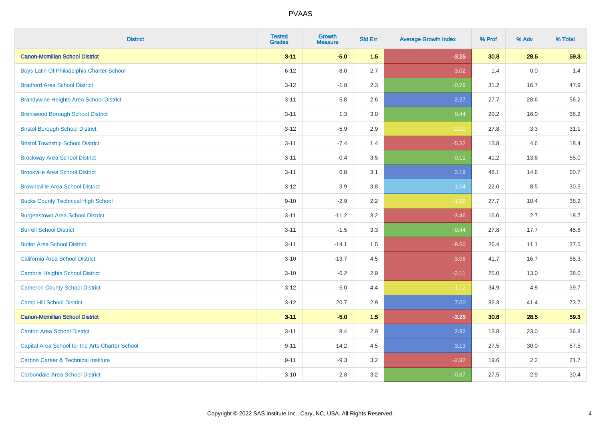| <b>District</b>                                 | <b>Tested</b><br><b>Grades</b> | <b>Growth</b><br><b>Measure</b> | <b>Std Err</b> | <b>Average Growth Index</b> | % Prof | % Adv | % Total |
|-------------------------------------------------|--------------------------------|---------------------------------|----------------|-----------------------------|--------|-------|---------|
| <b>Canon-Mcmillan School District</b>           | $3 - 11$                       | $-5.0$                          | 1.5            | $-3.25$                     | 30.8   | 28.5  | 59.3    |
| Boys Latin Of Philadelphia Charter School       | $6 - 12$                       | $-8.0$                          | 2.7            | $-3.02$                     | 1.4    | 0.0   | 1.4     |
| <b>Bradford Area School District</b>            | $3 - 12$                       | $-1.8$                          | 2.3            | $-0.79$                     | 31.2   | 16.7  | 47.9    |
| <b>Brandywine Heights Area School District</b>  | $3 - 11$                       | 5.8                             | 2.6            | 2.27                        | 27.7   | 28.6  | 56.2    |
| <b>Brentwood Borough School District</b>        | $3 - 11$                       | 1.3                             | 3.0            | 0.44                        | 20.2   | 16.0  | 36.2    |
| <b>Bristol Borough School District</b>          | $3 - 12$                       | $-5.9$                          | 2.9            | $-2.00$                     | 27.8   | 3.3   | 31.1    |
| <b>Bristol Township School District</b>         | $3 - 11$                       | $-7.4$                          | 1.4            | $-5.32$                     | 13.8   | 4.6   | 18.4    |
| <b>Brockway Area School District</b>            | $3 - 11$                       | $-0.4$                          | 3.5            | $-0.11$                     | 41.2   | 13.8  | 55.0    |
| <b>Brookville Area School District</b>          | $3 - 11$                       | 6.8                             | 3.1            | 2.19                        | 46.1   | 14.6  | 60.7    |
| <b>Brownsville Area School District</b>         | $3 - 12$                       | 3.9                             | 3.8            | 1.04                        | 22.0   | 8.5   | 30.5    |
| <b>Bucks County Technical High School</b>       | $9 - 10$                       | $-2.9$                          | 2.2            | $-1.29$                     | 27.7   | 10.4  | 38.2    |
| <b>Burgettstown Area School District</b>        | $3 - 11$                       | $-11.2$                         | 3.2            | $-3.46$                     | 16.0   | 2.7   | 18.7    |
| <b>Burrell School District</b>                  | $3 - 11$                       | $-1.5$                          | 3.3            | $-0.44$                     | 27.8   | 17.7  | 45.6    |
| <b>Butler Area School District</b>              | $3 - 11$                       | $-14.1$                         | 1.5            | $-9.60$                     | 26.4   | 11.1  | 37.5    |
| <b>California Area School District</b>          | $3 - 10$                       | $-13.7$                         | 4.5            | $-3.06$                     | 41.7   | 16.7  | 58.3    |
| <b>Cambria Heights School District</b>          | $3 - 10$                       | $-6.2$                          | 2.9            | $-2.11$                     | 25.0   | 13.0  | 38.0    |
| <b>Cameron County School District</b>           | $3 - 12$                       | $-5.0$                          | 4.4            | $-1.12$                     | 34.9   | 4.8   | 39.7    |
| <b>Camp Hill School District</b>                | $3-12$                         | 20.7                            | 2.9            | 7.00                        | 32.3   | 41.4  | 73.7    |
| <b>Canon-Mcmillan School District</b>           | $3 - 11$                       | $-5.0$                          | 1.5            | $-3.25$                     | 30.8   | 28.5  | 59.3    |
| <b>Canton Area School District</b>              | $3 - 11$                       | 8.4                             | 2.9            | 2.92                        | 13.8   | 23.0  | 36.8    |
| Capital Area School for the Arts Charter School | $9 - 11$                       | 14.2                            | 4.5            | 3.13                        | 27.5   | 30.0  | 57.5    |
| <b>Carbon Career &amp; Technical Institute</b>  | $9 - 11$                       | $-9.3$                          | 3.2            | $-2.92$                     | 19.6   | 2.2   | 21.7    |
| <b>Carbondale Area School District</b>          | $3 - 10$                       | $-2.8$                          | 3.2            | $-0.87$                     | 27.5   | 2.9   | 30.4    |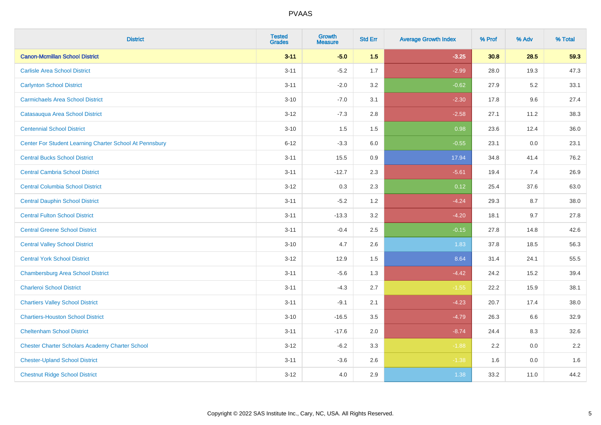| <b>District</b>                                         | <b>Tested</b><br><b>Grades</b> | <b>Growth</b><br><b>Measure</b> | <b>Std Err</b> | <b>Average Growth Index</b> | % Prof | % Adv   | % Total |
|---------------------------------------------------------|--------------------------------|---------------------------------|----------------|-----------------------------|--------|---------|---------|
| <b>Canon-Mcmillan School District</b>                   | $3 - 11$                       | $-5.0$                          | 1.5            | $-3.25$                     | 30.8   | 28.5    | 59.3    |
| <b>Carlisle Area School District</b>                    | $3 - 11$                       | $-5.2$                          | 1.7            | $-2.99$                     | 28.0   | 19.3    | 47.3    |
| <b>Carlynton School District</b>                        | $3 - 11$                       | $-2.0$                          | 3.2            | $-0.62$                     | 27.9   | $5.2\,$ | 33.1    |
| <b>Carmichaels Area School District</b>                 | $3 - 10$                       | $-7.0$                          | 3.1            | $-2.30$                     | 17.8   | 9.6     | 27.4    |
| Catasauqua Area School District                         | $3-12$                         | $-7.3$                          | 2.8            | $-2.58$                     | 27.1   | 11.2    | 38.3    |
| <b>Centennial School District</b>                       | $3 - 10$                       | 1.5                             | 1.5            | 0.98                        | 23.6   | 12.4    | 36.0    |
| Center For Student Learning Charter School At Pennsbury | $6 - 12$                       | $-3.3$                          | 6.0            | $-0.55$                     | 23.1   | 0.0     | 23.1    |
| <b>Central Bucks School District</b>                    | $3 - 11$                       | 15.5                            | 0.9            | 17.94                       | 34.8   | 41.4    | 76.2    |
| <b>Central Cambria School District</b>                  | $3 - 11$                       | $-12.7$                         | 2.3            | $-5.61$                     | 19.4   | 7.4     | 26.9    |
| <b>Central Columbia School District</b>                 | $3 - 12$                       | 0.3                             | 2.3            | 0.12                        | 25.4   | 37.6    | 63.0    |
| <b>Central Dauphin School District</b>                  | $3 - 11$                       | $-5.2$                          | 1.2            | $-4.24$                     | 29.3   | 8.7     | 38.0    |
| <b>Central Fulton School District</b>                   | $3 - 11$                       | $-13.3$                         | 3.2            | $-4.20$                     | 18.1   | 9.7     | 27.8    |
| <b>Central Greene School District</b>                   | $3 - 11$                       | $-0.4$                          | 2.5            | $-0.15$                     | 27.8   | 14.8    | 42.6    |
| <b>Central Valley School District</b>                   | $3 - 10$                       | 4.7                             | 2.6            | 1.83                        | 37.8   | 18.5    | 56.3    |
| <b>Central York School District</b>                     | $3 - 12$                       | 12.9                            | 1.5            | 8.64                        | 31.4   | 24.1    | 55.5    |
| <b>Chambersburg Area School District</b>                | $3 - 11$                       | $-5.6$                          | 1.3            | $-4.42$                     | 24.2   | 15.2    | 39.4    |
| <b>Charleroi School District</b>                        | $3 - 11$                       | $-4.3$                          | 2.7            | $-1.55$                     | 22.2   | 15.9    | 38.1    |
| <b>Chartiers Valley School District</b>                 | $3 - 11$                       | $-9.1$                          | 2.1            | $-4.23$                     | 20.7   | 17.4    | 38.0    |
| <b>Chartiers-Houston School District</b>                | $3 - 10$                       | $-16.5$                         | 3.5            | $-4.79$                     | 26.3   | 6.6     | 32.9    |
| <b>Cheltenham School District</b>                       | $3 - 11$                       | $-17.6$                         | 2.0            | $-8.74$                     | 24.4   | 8.3     | 32.6    |
| <b>Chester Charter Scholars Academy Charter School</b>  | $3 - 12$                       | $-6.2$                          | 3.3            | $-1.88$                     | 2.2    | 0.0     | 2.2     |
| <b>Chester-Upland School District</b>                   | $3 - 11$                       | $-3.6$                          | 2.6            | $-1.38$                     | 1.6    | 0.0     | 1.6     |
| <b>Chestnut Ridge School District</b>                   | $3 - 12$                       | 4.0                             | 2.9            | 1.38                        | 33.2   | 11.0    | 44.2    |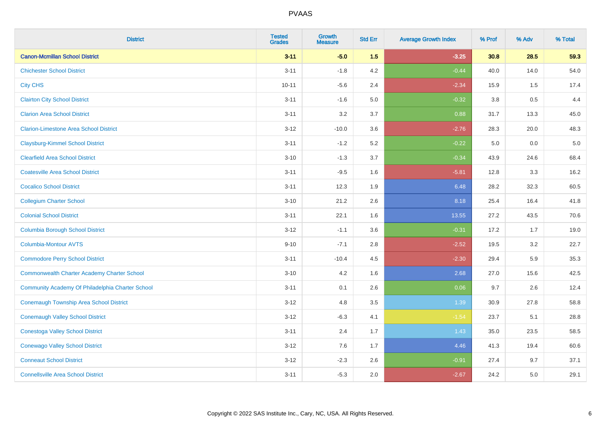| <b>District</b>                                    | <b>Tested</b><br><b>Grades</b> | Growth<br><b>Measure</b> | <b>Std Err</b> | <b>Average Growth Index</b> | % Prof | % Adv | % Total |
|----------------------------------------------------|--------------------------------|--------------------------|----------------|-----------------------------|--------|-------|---------|
| <b>Canon-Mcmillan School District</b>              | $3 - 11$                       | $-5.0$                   | 1.5            | $-3.25$                     | 30.8   | 28.5  | 59.3    |
| <b>Chichester School District</b>                  | $3 - 11$                       | $-1.8$                   | 4.2            | $-0.44$                     | 40.0   | 14.0  | 54.0    |
| <b>City CHS</b>                                    | $10 - 11$                      | $-5.6$                   | 2.4            | $-2.34$                     | 15.9   | 1.5   | 17.4    |
| <b>Clairton City School District</b>               | $3 - 11$                       | $-1.6$                   | 5.0            | $-0.32$                     | 3.8    | 0.5   | 4.4     |
| <b>Clarion Area School District</b>                | $3 - 11$                       | 3.2                      | 3.7            | 0.88                        | 31.7   | 13.3  | 45.0    |
| <b>Clarion-Limestone Area School District</b>      | $3 - 12$                       | $-10.0$                  | 3.6            | $-2.76$                     | 28.3   | 20.0  | 48.3    |
| <b>Claysburg-Kimmel School District</b>            | $3 - 11$                       | $-1.2$                   | 5.2            | $-0.22$                     | 5.0    | 0.0   | 5.0     |
| <b>Clearfield Area School District</b>             | $3 - 10$                       | $-1.3$                   | 3.7            | $-0.34$                     | 43.9   | 24.6  | 68.4    |
| <b>Coatesville Area School District</b>            | $3 - 11$                       | $-9.5$                   | 1.6            | $-5.81$                     | 12.8   | 3.3   | 16.2    |
| <b>Cocalico School District</b>                    | $3 - 11$                       | 12.3                     | 1.9            | 6.48                        | 28.2   | 32.3  | 60.5    |
| <b>Collegium Charter School</b>                    | $3 - 10$                       | 21.2                     | 2.6            | 8.18                        | 25.4   | 16.4  | 41.8    |
| <b>Colonial School District</b>                    | $3 - 11$                       | 22.1                     | 1.6            | 13.55                       | 27.2   | 43.5  | 70.6    |
| <b>Columbia Borough School District</b>            | $3 - 12$                       | $-1.1$                   | 3.6            | $-0.31$                     | 17.2   | 1.7   | 19.0    |
| Columbia-Montour AVTS                              | $9 - 10$                       | $-7.1$                   | 2.8            | $-2.52$                     | 19.5   | 3.2   | 22.7    |
| <b>Commodore Perry School District</b>             | $3 - 11$                       | $-10.4$                  | 4.5            | $-2.30$                     | 29.4   | 5.9   | 35.3    |
| <b>Commonwealth Charter Academy Charter School</b> | $3 - 10$                       | 4.2                      | 1.6            | 2.68                        | 27.0   | 15.6  | 42.5    |
| Community Academy Of Philadelphia Charter School   | $3 - 11$                       | 0.1                      | 2.6            | 0.06                        | 9.7    | 2.6   | 12.4    |
| <b>Conemaugh Township Area School District</b>     | $3 - 12$                       | 4.8                      | 3.5            | 1.39                        | 30.9   | 27.8  | 58.8    |
| <b>Conemaugh Valley School District</b>            | $3 - 12$                       | $-6.3$                   | 4.1            | $-1.54$                     | 23.7   | 5.1   | 28.8    |
| <b>Conestoga Valley School District</b>            | $3 - 11$                       | 2.4                      | 1.7            | 1.43                        | 35.0   | 23.5  | 58.5    |
| <b>Conewago Valley School District</b>             | $3 - 12$                       | 7.6                      | 1.7            | 4.46                        | 41.3   | 19.4  | 60.6    |
| <b>Conneaut School District</b>                    | $3 - 12$                       | $-2.3$                   | 2.6            | $-0.91$                     | 27.4   | 9.7   | 37.1    |
| <b>Connellsville Area School District</b>          | $3 - 11$                       | $-5.3$                   | 2.0            | $-2.67$                     | 24.2   | 5.0   | 29.1    |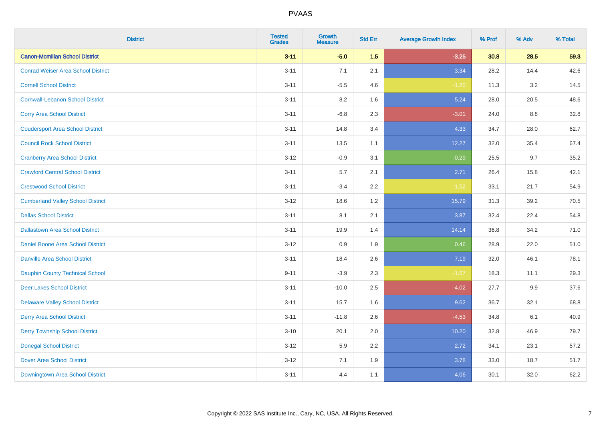| <b>District</b>                           | <b>Tested</b><br><b>Grades</b> | Growth<br><b>Measure</b> | <b>Std Err</b> | <b>Average Growth Index</b> | % Prof | % Adv | % Total |
|-------------------------------------------|--------------------------------|--------------------------|----------------|-----------------------------|--------|-------|---------|
| <b>Canon-Mcmillan School District</b>     | $3 - 11$                       | $-5.0$                   | 1.5            | $-3.25$                     | 30.8   | 28.5  | 59.3    |
| <b>Conrad Weiser Area School District</b> | $3 - 11$                       | 7.1                      | 2.1            | 3.34                        | 28.2   | 14.4  | 42.6    |
| <b>Cornell School District</b>            | $3 - 11$                       | $-5.5$                   | 4.6            | $-1.20$                     | 11.3   | 3.2   | 14.5    |
| <b>Cornwall-Lebanon School District</b>   | $3 - 11$                       | $8.2\,$                  | 1.6            | 5.24                        | 28.0   | 20.5  | 48.6    |
| <b>Corry Area School District</b>         | $3 - 11$                       | $-6.8$                   | 2.3            | $-3.01$                     | 24.0   | 8.8   | 32.8    |
| <b>Coudersport Area School District</b>   | $3 - 11$                       | 14.8                     | 3.4            | 4.33                        | 34.7   | 28.0  | 62.7    |
| <b>Council Rock School District</b>       | $3 - 11$                       | 13.5                     | 1.1            | 12.27                       | 32.0   | 35.4  | 67.4    |
| <b>Cranberry Area School District</b>     | $3 - 12$                       | $-0.9$                   | 3.1            | $-0.29$                     | 25.5   | 9.7   | 35.2    |
| <b>Crawford Central School District</b>   | $3 - 11$                       | 5.7                      | 2.1            | 2.71                        | 26.4   | 15.8  | 42.1    |
| <b>Crestwood School District</b>          | $3 - 11$                       | $-3.4$                   | $2.2\,$        | $-1.52$                     | 33.1   | 21.7  | 54.9    |
| <b>Cumberland Valley School District</b>  | $3 - 12$                       | 18.6                     | 1.2            | 15.79                       | 31.3   | 39.2  | 70.5    |
| <b>Dallas School District</b>             | $3 - 11$                       | 8.1                      | 2.1            | 3.87                        | 32.4   | 22.4  | 54.8    |
| <b>Dallastown Area School District</b>    | $3 - 11$                       | 19.9                     | 1.4            | 14.14                       | 36.8   | 34.2  | 71.0    |
| Daniel Boone Area School District         | $3 - 12$                       | 0.9                      | 1.9            | 0.46                        | 28.9   | 22.0  | 51.0    |
| <b>Danville Area School District</b>      | $3 - 11$                       | 18.4                     | 2.6            | 7.19                        | 32.0   | 46.1  | 78.1    |
| <b>Dauphin County Technical School</b>    | $9 - 11$                       | $-3.9$                   | 2.3            | $-1.67$                     | 18.3   | 11.1  | 29.3    |
| <b>Deer Lakes School District</b>         | $3 - 11$                       | $-10.0$                  | 2.5            | $-4.02$                     | 27.7   | 9.9   | 37.6    |
| <b>Delaware Valley School District</b>    | $3 - 11$                       | 15.7                     | 1.6            | 9.62                        | 36.7   | 32.1  | 68.8    |
| <b>Derry Area School District</b>         | $3 - 11$                       | $-11.8$                  | 2.6            | $-4.53$                     | 34.8   | 6.1   | 40.9    |
| <b>Derry Township School District</b>     | $3 - 10$                       | 20.1                     | 2.0            | 10.20                       | 32.8   | 46.9  | 79.7    |
| <b>Donegal School District</b>            | $3 - 12$                       | 5.9                      | 2.2            | 2.72                        | 34.1   | 23.1  | 57.2    |
| <b>Dover Area School District</b>         | $3 - 12$                       | 7.1                      | 1.9            | 3.78                        | 33.0   | 18.7  | 51.7    |
| Downingtown Area School District          | $3 - 11$                       | 4.4                      | 1.1            | 4.06                        | 30.1   | 32.0  | 62.2    |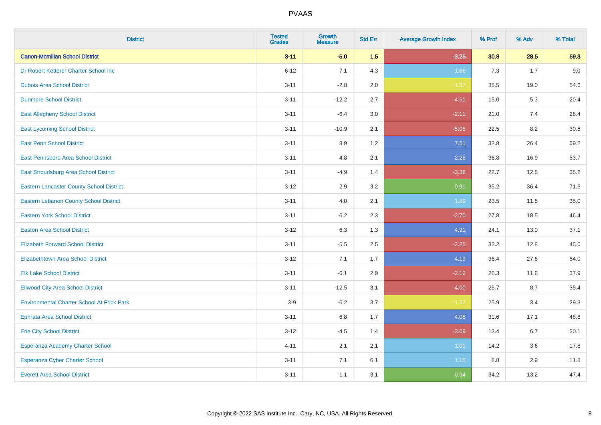| <b>District</b>                                   | <b>Tested</b><br><b>Grades</b> | <b>Growth</b><br><b>Measure</b> | <b>Std Err</b> | <b>Average Growth Index</b> | % Prof | % Adv | % Total |
|---------------------------------------------------|--------------------------------|---------------------------------|----------------|-----------------------------|--------|-------|---------|
| <b>Canon-Mcmillan School District</b>             | $3 - 11$                       | $-5.0$                          | 1.5            | $-3.25$                     | 30.8   | 28.5  | 59.3    |
| Dr Robert Ketterer Charter School Inc             | $6 - 12$                       | 7.1                             | 4.3            | 1.66                        | 7.3    | 1.7   | 9.0     |
| <b>Dubois Area School District</b>                | $3 - 11$                       | $-2.8$                          | 2.0            | $-1.37$                     | 35.5   | 19.0  | 54.6    |
| <b>Dunmore School District</b>                    | $3 - 11$                       | $-12.2$                         | 2.7            | $-4.51$                     | 15.0   | 5.3   | 20.4    |
| <b>East Allegheny School District</b>             | $3 - 11$                       | $-6.4$                          | 3.0            | $-2.11$                     | 21.0   | 7.4   | 28.4    |
| <b>East Lycoming School District</b>              | $3 - 11$                       | $-10.9$                         | 2.1            | $-5.08$                     | 22.5   | 8.2   | 30.8    |
| <b>East Penn School District</b>                  | $3 - 11$                       | 8.9                             | 1.2            | 7.61                        | 32.8   | 26.4  | 59.2    |
| East Pennsboro Area School District               | $3 - 11$                       | 4.8                             | 2.1            | 2.26                        | 36.8   | 16.9  | 53.7    |
| East Stroudsburg Area School District             | $3 - 11$                       | $-4.9$                          | 1.4            | $-3.38$                     | 22.7   | 12.5  | 35.2    |
| <b>Eastern Lancaster County School District</b>   | $3 - 12$                       | 2.9                             | 3.2            | 0.91                        | 35.2   | 36.4  | 71.6    |
| <b>Eastern Lebanon County School District</b>     | $3 - 11$                       | 4.0                             | 2.1            | 1.89                        | 23.5   | 11.5  | 35.0    |
| <b>Eastern York School District</b>               | $3 - 11$                       | $-6.2$                          | 2.3            | $-2.70$                     | 27.8   | 18.5  | 46.4    |
| <b>Easton Area School District</b>                | $3 - 12$                       | 6.3                             | 1.3            | 4.91                        | 24.1   | 13.0  | 37.1    |
| <b>Elizabeth Forward School District</b>          | $3 - 11$                       | $-5.5$                          | 2.5            | $-2.25$                     | 32.2   | 12.8  | 45.0    |
| <b>Elizabethtown Area School District</b>         | $3 - 12$                       | 7.1                             | 1.7            | 4.19                        | 36.4   | 27.6  | 64.0    |
| <b>Elk Lake School District</b>                   | $3 - 11$                       | $-6.1$                          | 2.9            | $-2.12$                     | 26.3   | 11.6  | 37.9    |
| <b>Ellwood City Area School District</b>          | $3 - 11$                       | $-12.5$                         | 3.1            | $-4.00$                     | 26.7   | 8.7   | 35.4    |
| <b>Environmental Charter School At Frick Park</b> | $3-9$                          | $-6.2$                          | 3.7            | $-1.67$                     | 25.9   | 3.4   | 29.3    |
| <b>Ephrata Area School District</b>               | $3 - 11$                       | 6.8                             | 1.7            | 4.08                        | 31.6   | 17.1  | 48.8    |
| <b>Erie City School District</b>                  | $3 - 12$                       | $-4.5$                          | 1.4            | $-3.09$                     | 13.4   | 6.7   | 20.1    |
| Esperanza Academy Charter School                  | $4 - 11$                       | 2.1                             | 2.1            | 1.01                        | 14.2   | 3.6   | 17.8    |
| <b>Esperanza Cyber Charter School</b>             | $3 - 11$                       | 7.1                             | 6.1            | 1.15                        | 8.8    | 2.9   | 11.8    |
| <b>Everett Area School District</b>               | $3 - 11$                       | $-1.1$                          | 3.1            | $-0.34$                     | 34.2   | 13.2  | 47.4    |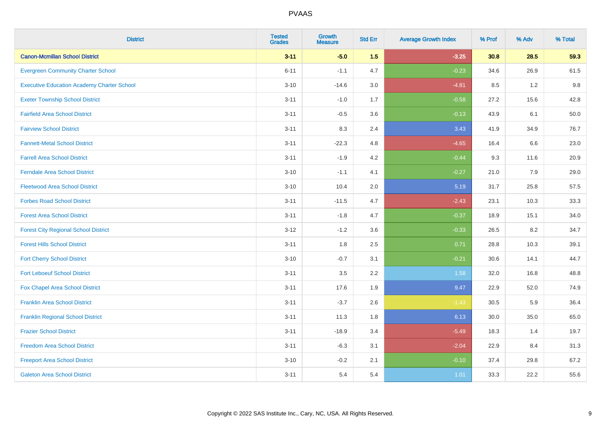| <b>District</b>                                   | <b>Tested</b><br><b>Grades</b> | <b>Growth</b><br><b>Measure</b> | <b>Std Err</b> | <b>Average Growth Index</b> | % Prof | % Adv   | % Total |
|---------------------------------------------------|--------------------------------|---------------------------------|----------------|-----------------------------|--------|---------|---------|
| <b>Canon-Mcmillan School District</b>             | $3 - 11$                       | $-5.0$                          | 1.5            | $-3.25$                     | 30.8   | 28.5    | 59.3    |
| <b>Evergreen Community Charter School</b>         | $6 - 11$                       | $-1.1$                          | 4.7            | $-0.23$                     | 34.6   | 26.9    | 61.5    |
| <b>Executive Education Academy Charter School</b> | $3 - 10$                       | $-14.6$                         | 3.0            | $-4.81$                     | 8.5    | 1.2     | 9.8     |
| <b>Exeter Township School District</b>            | $3 - 11$                       | $-1.0$                          | 1.7            | $-0.58$                     | 27.2   | 15.6    | 42.8    |
| <b>Fairfield Area School District</b>             | $3 - 11$                       | $-0.5$                          | 3.6            | $-0.13$                     | 43.9   | 6.1     | 50.0    |
| <b>Fairview School District</b>                   | $3 - 11$                       | 8.3                             | 2.4            | 3.43                        | 41.9   | 34.9    | 76.7    |
| <b>Fannett-Metal School District</b>              | $3 - 11$                       | $-22.3$                         | 4.8            | $-4.65$                     | 16.4   | 6.6     | 23.0    |
| <b>Farrell Area School District</b>               | $3 - 11$                       | $-1.9$                          | 4.2            | $-0.44$                     | 9.3    | 11.6    | 20.9    |
| <b>Ferndale Area School District</b>              | $3 - 10$                       | $-1.1$                          | 4.1            | $-0.27$                     | 21.0   | 7.9     | 29.0    |
| <b>Fleetwood Area School District</b>             | $3 - 10$                       | 10.4                            | 2.0            | 5.19                        | 31.7   | 25.8    | 57.5    |
| <b>Forbes Road School District</b>                | $3 - 11$                       | $-11.5$                         | 4.7            | $-2.43$                     | 23.1   | 10.3    | 33.3    |
| <b>Forest Area School District</b>                | $3 - 11$                       | $-1.8$                          | 4.7            | $-0.37$                     | 18.9   | 15.1    | 34.0    |
| <b>Forest City Regional School District</b>       | $3 - 12$                       | $-1.2$                          | 3.6            | $-0.33$                     | 26.5   | $8.2\,$ | 34.7    |
| <b>Forest Hills School District</b>               | $3 - 11$                       | 1.8                             | 2.5            | 0.71                        | 28.8   | 10.3    | 39.1    |
| <b>Fort Cherry School District</b>                | $3 - 10$                       | $-0.7$                          | 3.1            | $-0.21$                     | 30.6   | 14.1    | 44.7    |
| <b>Fort Leboeuf School District</b>               | $3 - 11$                       | $3.5\,$                         | 2.2            | 1.58                        | 32.0   | 16.8    | 48.8    |
| Fox Chapel Area School District                   | $3 - 11$                       | 17.6                            | 1.9            | 9.47                        | 22.9   | 52.0    | 74.9    |
| <b>Franklin Area School District</b>              | $3 - 11$                       | $-3.7$                          | 2.6            | $-1.43$                     | 30.5   | 5.9     | 36.4    |
| <b>Franklin Regional School District</b>          | $3 - 11$                       | 11.3                            | 1.8            | 6.13                        | 30.0   | 35.0    | 65.0    |
| <b>Frazier School District</b>                    | $3 - 11$                       | $-18.9$                         | 3.4            | $-5.49$                     | 18.3   | 1.4     | 19.7    |
| <b>Freedom Area School District</b>               | $3 - 11$                       | $-6.3$                          | 3.1            | $-2.04$                     | 22.9   | 8.4     | 31.3    |
| <b>Freeport Area School District</b>              | $3 - 10$                       | $-0.2$                          | 2.1            | $-0.10$                     | 37.4   | 29.8    | 67.2    |
| <b>Galeton Area School District</b>               | $3 - 11$                       | 5.4                             | 5.4            | 1.01                        | 33.3   | 22.2    | 55.6    |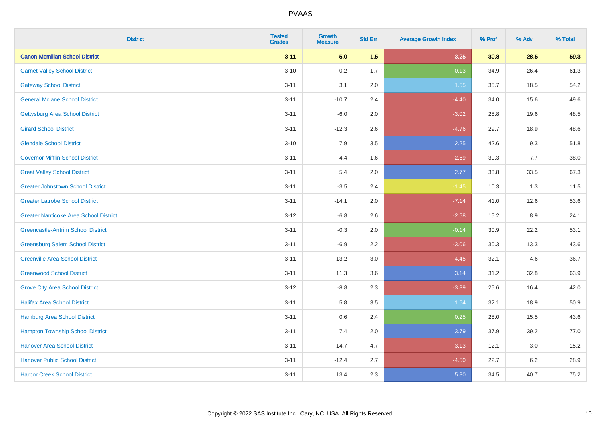| <b>District</b>                               | <b>Tested</b><br><b>Grades</b> | Growth<br><b>Measure</b> | <b>Std Err</b> | <b>Average Growth Index</b> | % Prof | % Adv   | % Total |
|-----------------------------------------------|--------------------------------|--------------------------|----------------|-----------------------------|--------|---------|---------|
| <b>Canon-Mcmillan School District</b>         | $3 - 11$                       | $-5.0$                   | 1.5            | $-3.25$                     | 30.8   | 28.5    | 59.3    |
| <b>Garnet Valley School District</b>          | $3 - 10$                       | 0.2                      | 1.7            | 0.13                        | 34.9   | 26.4    | 61.3    |
| <b>Gateway School District</b>                | $3 - 11$                       | 3.1                      | 2.0            | 1.55                        | 35.7   | 18.5    | 54.2    |
| <b>General Mclane School District</b>         | $3 - 11$                       | $-10.7$                  | 2.4            | $-4.40$                     | 34.0   | 15.6    | 49.6    |
| <b>Gettysburg Area School District</b>        | $3 - 11$                       | $-6.0$                   | 2.0            | $-3.02$                     | 28.8   | 19.6    | 48.5    |
| <b>Girard School District</b>                 | $3 - 11$                       | $-12.3$                  | 2.6            | $-4.76$                     | 29.7   | 18.9    | 48.6    |
| <b>Glendale School District</b>               | $3 - 10$                       | 7.9                      | 3.5            | 2.25                        | 42.6   | 9.3     | 51.8    |
| <b>Governor Mifflin School District</b>       | $3 - 11$                       | $-4.4$                   | 1.6            | $-2.69$                     | 30.3   | $7.7$   | 38.0    |
| <b>Great Valley School District</b>           | $3 - 11$                       | 5.4                      | 2.0            | 2.77                        | 33.8   | 33.5    | 67.3    |
| <b>Greater Johnstown School District</b>      | $3 - 11$                       | $-3.5$                   | 2.4            | $-1.45$                     | 10.3   | 1.3     | 11.5    |
| <b>Greater Latrobe School District</b>        | $3 - 11$                       | $-14.1$                  | 2.0            | $-7.14$                     | 41.0   | 12.6    | 53.6    |
| <b>Greater Nanticoke Area School District</b> | $3-12$                         | $-6.8$                   | 2.6            | $-2.58$                     | 15.2   | 8.9     | 24.1    |
| <b>Greencastle-Antrim School District</b>     | $3 - 11$                       | $-0.3$                   | 2.0            | $-0.14$                     | 30.9   | 22.2    | 53.1    |
| <b>Greensburg Salem School District</b>       | $3 - 11$                       | $-6.9$                   | 2.2            | $-3.06$                     | 30.3   | 13.3    | 43.6    |
| <b>Greenville Area School District</b>        | $3 - 11$                       | $-13.2$                  | $3.0\,$        | $-4.45$                     | 32.1   | 4.6     | 36.7    |
| <b>Greenwood School District</b>              | $3 - 11$                       | 11.3                     | 3.6            | 3.14                        | 31.2   | 32.8    | 63.9    |
| <b>Grove City Area School District</b>        | $3 - 12$                       | $-8.8$                   | 2.3            | $-3.89$                     | 25.6   | 16.4    | 42.0    |
| <b>Halifax Area School District</b>           | $3 - 11$                       | 5.8                      | 3.5            | 1.64                        | 32.1   | 18.9    | 50.9    |
| <b>Hamburg Area School District</b>           | $3 - 11$                       | 0.6                      | 2.4            | 0.25                        | 28.0   | 15.5    | 43.6    |
| <b>Hampton Township School District</b>       | $3 - 11$                       | 7.4                      | 2.0            | 3.79                        | 37.9   | 39.2    | 77.0    |
| <b>Hanover Area School District</b>           | $3 - 11$                       | $-14.7$                  | 4.7            | $-3.13$                     | 12.1   | 3.0     | 15.2    |
| <b>Hanover Public School District</b>         | $3 - 11$                       | $-12.4$                  | 2.7            | $-4.50$                     | 22.7   | $6.2\,$ | 28.9    |
| <b>Harbor Creek School District</b>           | $3 - 11$                       | 13.4                     | 2.3            | 5.80                        | 34.5   | 40.7    | 75.2    |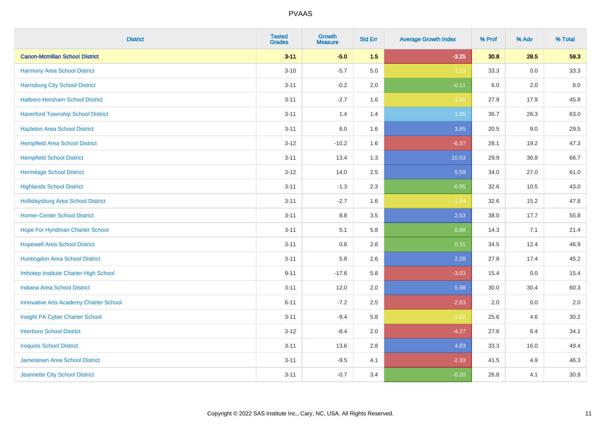| <b>District</b>                               | <b>Tested</b><br><b>Grades</b> | <b>Growth</b><br><b>Measure</b> | <b>Std Err</b> | <b>Average Growth Index</b> | % Prof | % Adv | % Total |
|-----------------------------------------------|--------------------------------|---------------------------------|----------------|-----------------------------|--------|-------|---------|
| <b>Canon-Mcmillan School District</b>         | $3 - 11$                       | $-5.0$                          | 1.5            | $-3.25$                     | 30.8   | 28.5  | 59.3    |
| <b>Harmony Area School District</b>           | $3 - 10$                       | $-5.7$                          | 5.0            | $-1.13$                     | 33.3   | 0.0   | 33.3    |
| <b>Harrisburg City School District</b>        | $3 - 11$                       | $-0.2$                          | 2.0            | $-0.11$                     | 6.0    | 2.0   | 8.0     |
| Hatboro-Horsham School District               | $3 - 11$                       | $-2.7$                          | 1.6            | $-1.65$                     | 27.9   | 17.9  | 45.8    |
| <b>Haverford Township School District</b>     | $3 - 11$                       | 1.4                             | 1.4            | 1.05                        | 36.7   | 26.3  | 63.0    |
| <b>Hazleton Area School District</b>          | $3 - 11$                       | 6.0                             | 1.6            | 3.85                        | 20.5   | 9.0   | 29.5    |
| <b>Hempfield Area School District</b>         | $3 - 12$                       | $-10.2$                         | 1.6            | $-6.37$                     | 28.1   | 19.2  | 47.3    |
| <b>Hempfield School District</b>              | $3 - 11$                       | 13.4                            | 1.3            | 10.53                       | 29.9   | 36.8  | 66.7    |
| <b>Hermitage School District</b>              | $3 - 12$                       | 14.0                            | 2.5            | 5.59                        | 34.0   | 27.0  | 61.0    |
| <b>Highlands School District</b>              | $3 - 11$                       | $-1.3$                          | 2.3            | $-0.55$                     | 32.6   | 10.5  | 43.0    |
| <b>Hollidaysburg Area School District</b>     | $3 - 11$                       | $-2.7$                          | 1.6            | $-1.64$                     | 32.6   | 15.2  | 47.8    |
| <b>Homer-Center School District</b>           | $3 - 11$                       | $8.8\,$                         | 3.5            | 2.53                        | 38.0   | 17.7  | 55.8    |
| Hope For Hyndman Charter School               | $3 - 11$                       | 5.1                             | 5.8            | 0.88                        | 14.3   | 7.1   | 21.4    |
| <b>Hopewell Area School District</b>          | $3 - 11$                       | 0.8                             | 2.6            | 0.31                        | 34.5   | 12.4  | 46.9    |
| Huntingdon Area School District               | $3 - 11$                       | 5.8                             | 2.6            | 2.28                        | 27.8   | 17.4  | 45.2    |
| Imhotep Institute Charter High School         | $9 - 11$                       | $-17.6$                         | 5.8            | $-3.03$                     | 15.4   | 0.0   | 15.4    |
| <b>Indiana Area School District</b>           | $3 - 11$                       | 12.0                            | 2.0            | 5.98                        | 30.0   | 30.4  | 60.3    |
| <b>Innovative Arts Academy Charter School</b> | $6 - 11$                       | $-7.2$                          | 2.5            | $-2.83$                     | 2.0    | 0.0   | $2.0\,$ |
| Insight PA Cyber Charter School               | $3 - 11$                       | $-9.4$                          | 5.8            | $-1.62$                     | 25.6   | 4.6   | 30.2    |
| <b>Interboro School District</b>              | $3 - 12$                       | $-8.4$                          | 2.0            | $-4.27$                     | 27.6   | 6.4   | 34.1    |
| <b>Iroquois School District</b>               | $3 - 11$                       | 13.6                            | 2.8            | 4.83                        | 33.3   | 16.0  | 49.4    |
| <b>Jamestown Area School District</b>         | $3 - 11$                       | $-9.5$                          | 4.1            | $-2.33$                     | 41.5   | 4.9   | 46.3    |
| Jeannette City School District                | $3 - 11$                       | $-0.7$                          | 3.4            | $-0.20$                     | 26.8   | 4.1   | 30.9    |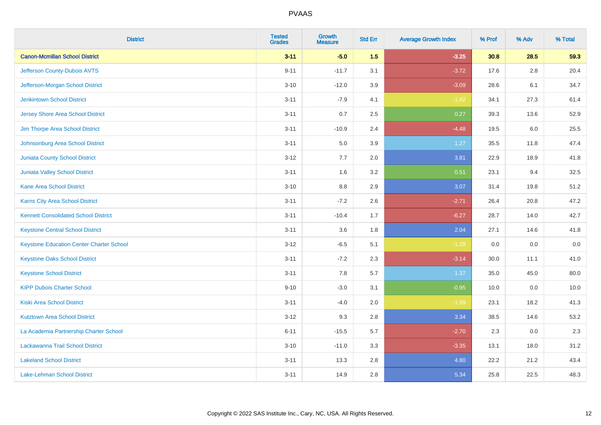| <b>District</b>                                 | <b>Tested</b><br><b>Grades</b> | <b>Growth</b><br><b>Measure</b> | <b>Std Err</b> | <b>Average Growth Index</b> | % Prof | % Adv   | % Total |
|-------------------------------------------------|--------------------------------|---------------------------------|----------------|-----------------------------|--------|---------|---------|
| <b>Canon-Mcmillan School District</b>           | $3 - 11$                       | $-5.0$                          | 1.5            | $-3.25$                     | 30.8   | 28.5    | 59.3    |
| Jefferson County-Dubois AVTS                    | $9 - 11$                       | $-11.7$                         | 3.1            | $-3.72$                     | 17.6   | $2.8\,$ | 20.4    |
| Jefferson-Morgan School District                | $3 - 10$                       | $-12.0$                         | 3.9            | $-3.09$                     | 28.6   | 6.1     | 34.7    |
| <b>Jenkintown School District</b>               | $3 - 11$                       | $-7.9$                          | 4.1            | $-1.92$                     | 34.1   | 27.3    | 61.4    |
| <b>Jersey Shore Area School District</b>        | $3 - 11$                       | 0.7                             | 2.5            | 0.27                        | 39.3   | 13.6    | 52.9    |
| Jim Thorpe Area School District                 | $3 - 11$                       | $-10.9$                         | 2.4            | $-4.48$                     | 19.5   | 6.0     | 25.5    |
| Johnsonburg Area School District                | $3 - 11$                       | 5.0                             | 3.9            | 1.27                        | 35.5   | 11.8    | 47.4    |
| <b>Juniata County School District</b>           | $3 - 12$                       | 7.7                             | 2.0            | 3.81                        | 22.9   | 18.9    | 41.8    |
| Juniata Valley School District                  | $3 - 11$                       | 1.6                             | 3.2            | 0.51                        | 23.1   | 9.4     | 32.5    |
| <b>Kane Area School District</b>                | $3 - 10$                       | 8.8                             | 2.9            | 3.07                        | 31.4   | 19.8    | 51.2    |
| <b>Karns City Area School District</b>          | $3 - 11$                       | $-7.2$                          | 2.6            | $-2.71$                     | 26.4   | 20.8    | 47.2    |
| <b>Kennett Consolidated School District</b>     | $3 - 11$                       | $-10.4$                         | 1.7            | $-6.27$                     | 28.7   | 14.0    | 42.7    |
| <b>Keystone Central School District</b>         | $3 - 11$                       | 3.6                             | 1.8            | 2.04                        | 27.1   | 14.6    | 41.8    |
| <b>Keystone Education Center Charter School</b> | $3 - 12$                       | $-6.5$                          | 5.1            | $-1.28$                     | 0.0    | 0.0     | $0.0\,$ |
| <b>Keystone Oaks School District</b>            | $3 - 11$                       | $-7.2$                          | 2.3            | $-3.14$                     | 30.0   | 11.1    | 41.0    |
| <b>Keystone School District</b>                 | $3 - 11$                       | 7.8                             | 5.7            | 1.37                        | 35.0   | 45.0    | 80.0    |
| <b>KIPP Dubois Charter School</b>               | $9 - 10$                       | $-3.0$                          | 3.1            | $-0.95$                     | 10.0   | 0.0     | 10.0    |
| <b>Kiski Area School District</b>               | $3 - 11$                       | $-4.0$                          | 2.0            | $-1.99$                     | 23.1   | 18.2    | 41.3    |
| <b>Kutztown Area School District</b>            | $3 - 12$                       | 9.3                             | 2.8            | 3.34                        | 38.5   | 14.6    | 53.2    |
| La Academia Partnership Charter School          | $6 - 11$                       | $-15.5$                         | 5.7            | $-2.70$                     | 2.3    | 0.0     | 2.3     |
| Lackawanna Trail School District                | $3 - 10$                       | $-11.0$                         | 3.3            | $-3.35$                     | 13.1   | 18.0    | 31.2    |
| <b>Lakeland School District</b>                 | $3 - 11$                       | 13.3                            | 2.8            | 4.80                        | 22.2   | 21.2    | 43.4    |
| <b>Lake-Lehman School District</b>              | $3 - 11$                       | 14.9                            | 2.8            | 5.34                        | 25.8   | 22.5    | 48.3    |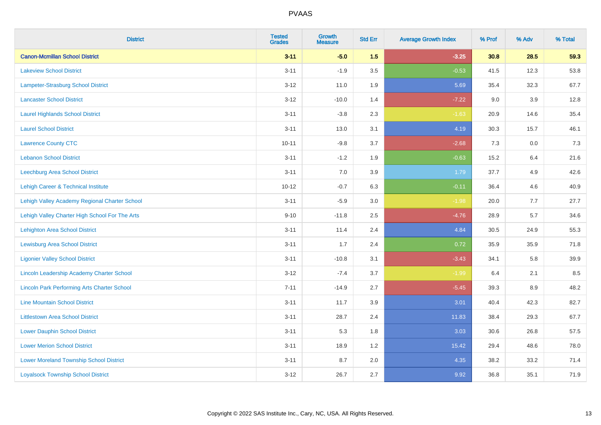| <b>District</b>                                    | <b>Tested</b><br><b>Grades</b> | <b>Growth</b><br><b>Measure</b> | <b>Std Err</b> | <b>Average Growth Index</b> | % Prof | % Adv   | % Total |
|----------------------------------------------------|--------------------------------|---------------------------------|----------------|-----------------------------|--------|---------|---------|
| <b>Canon-Mcmillan School District</b>              | $3 - 11$                       | $-5.0$                          | 1.5            | $-3.25$                     | 30.8   | 28.5    | 59.3    |
| <b>Lakeview School District</b>                    | $3 - 11$                       | $-1.9$                          | 3.5            | $-0.53$                     | 41.5   | 12.3    | 53.8    |
| Lampeter-Strasburg School District                 | $3 - 12$                       | 11.0                            | 1.9            | 5.69                        | 35.4   | 32.3    | 67.7    |
| <b>Lancaster School District</b>                   | $3 - 12$                       | $-10.0$                         | 1.4            | $-7.22$                     | 9.0    | 3.9     | 12.8    |
| <b>Laurel Highlands School District</b>            | $3 - 11$                       | $-3.8$                          | 2.3            | $-1.63$                     | 20.9   | 14.6    | 35.4    |
| <b>Laurel School District</b>                      | $3 - 11$                       | 13.0                            | 3.1            | 4.19                        | 30.3   | 15.7    | 46.1    |
| <b>Lawrence County CTC</b>                         | $10 - 11$                      | $-9.8$                          | 3.7            | $-2.68$                     | 7.3    | $0.0\,$ | $7.3$   |
| <b>Lebanon School District</b>                     | $3 - 11$                       | $-1.2$                          | 1.9            | $-0.63$                     | 15.2   | 6.4     | 21.6    |
| Leechburg Area School District                     | $3 - 11$                       | 7.0                             | 3.9            | 1.79                        | 37.7   | 4.9     | 42.6    |
| Lehigh Career & Technical Institute                | $10 - 12$                      | $-0.7$                          | 6.3            | $-0.11$                     | 36.4   | 4.6     | 40.9    |
| Lehigh Valley Academy Regional Charter School      | $3 - 11$                       | $-5.9$                          | 3.0            | $-1.98$                     | 20.0   | 7.7     | 27.7    |
| Lehigh Valley Charter High School For The Arts     | $9 - 10$                       | $-11.8$                         | 2.5            | $-4.76$                     | 28.9   | 5.7     | 34.6    |
| <b>Lehighton Area School District</b>              | $3 - 11$                       | 11.4                            | 2.4            | 4.84                        | 30.5   | 24.9    | 55.3    |
| <b>Lewisburg Area School District</b>              | $3 - 11$                       | 1.7                             | 2.4            | 0.72                        | 35.9   | 35.9    | 71.8    |
| <b>Ligonier Valley School District</b>             | $3 - 11$                       | $-10.8$                         | 3.1            | $-3.43$                     | 34.1   | 5.8     | 39.9    |
| Lincoln Leadership Academy Charter School          | $3 - 12$                       | $-7.4$                          | 3.7            | $-1.99$                     | 6.4    | 2.1     | 8.5     |
| <b>Lincoln Park Performing Arts Charter School</b> | $7 - 11$                       | $-14.9$                         | 2.7            | $-5.45$                     | 39.3   | $8.9\,$ | 48.2    |
| <b>Line Mountain School District</b>               | $3 - 11$                       | 11.7                            | 3.9            | 3.01                        | 40.4   | 42.3    | 82.7    |
| <b>Littlestown Area School District</b>            | $3 - 11$                       | 28.7                            | 2.4            | 11.83                       | 38.4   | 29.3    | 67.7    |
| <b>Lower Dauphin School District</b>               | $3 - 11$                       | 5.3                             | 1.8            | 3.03                        | 30.6   | 26.8    | 57.5    |
| <b>Lower Merion School District</b>                | $3 - 11$                       | 18.9                            | 1.2            | 15.42                       | 29.4   | 48.6    | 78.0    |
| <b>Lower Moreland Township School District</b>     | $3 - 11$                       | 8.7                             | 2.0            | 4.35                        | 38.2   | 33.2    | 71.4    |
| <b>Loyalsock Township School District</b>          | $3 - 12$                       | 26.7                            | 2.7            | 9.92                        | 36.8   | 35.1    | 71.9    |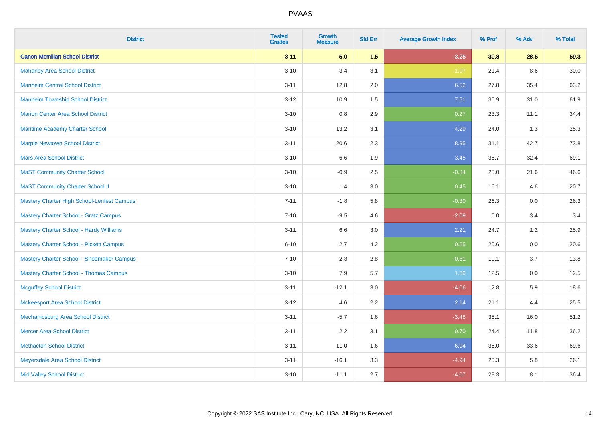| <b>District</b>                                | <b>Tested</b><br><b>Grades</b> | <b>Growth</b><br><b>Measure</b> | <b>Std Err</b> | <b>Average Growth Index</b> | % Prof | % Adv | % Total |
|------------------------------------------------|--------------------------------|---------------------------------|----------------|-----------------------------|--------|-------|---------|
| <b>Canon-Mcmillan School District</b>          | $3 - 11$                       | $-5.0$                          | 1.5            | $-3.25$                     | 30.8   | 28.5  | 59.3    |
| <b>Mahanoy Area School District</b>            | $3 - 10$                       | $-3.4$                          | 3.1            | $-1.07$                     | 21.4   | 8.6   | 30.0    |
| <b>Manheim Central School District</b>         | $3 - 11$                       | 12.8                            | 2.0            | 6.52                        | 27.8   | 35.4  | 63.2    |
| <b>Manheim Township School District</b>        | $3 - 12$                       | 10.9                            | 1.5            | 7.51                        | 30.9   | 31.0  | 61.9    |
| <b>Marion Center Area School District</b>      | $3 - 10$                       | 0.8                             | 2.9            | 0.27                        | 23.3   | 11.1  | 34.4    |
| Maritime Academy Charter School                | $3 - 10$                       | 13.2                            | 3.1            | 4.29                        | 24.0   | 1.3   | 25.3    |
| <b>Marple Newtown School District</b>          | $3 - 11$                       | 20.6                            | 2.3            | 8.95                        | 31.1   | 42.7  | 73.8    |
| <b>Mars Area School District</b>               | $3 - 10$                       | 6.6                             | 1.9            | 3.45                        | 36.7   | 32.4  | 69.1    |
| <b>MaST Community Charter School</b>           | $3 - 10$                       | $-0.9$                          | 2.5            | $-0.34$                     | 25.0   | 21.6  | 46.6    |
| <b>MaST Community Charter School II</b>        | $3 - 10$                       | 1.4                             | 3.0            | 0.45                        | 16.1   | 4.6   | 20.7    |
| Mastery Charter High School-Lenfest Campus     | $7 - 11$                       | $-1.8$                          | 5.8            | $-0.30$                     | 26.3   | 0.0   | 26.3    |
| <b>Mastery Charter School - Gratz Campus</b>   | $7 - 10$                       | $-9.5$                          | 4.6            | $-2.09$                     | 0.0    | 3.4   | 3.4     |
| <b>Mastery Charter School - Hardy Williams</b> | $3 - 11$                       | 6.6                             | 3.0            | 2.21                        | 24.7   | 1.2   | 25.9    |
| <b>Mastery Charter School - Pickett Campus</b> | $6 - 10$                       | 2.7                             | 4.2            | 0.65                        | 20.6   | 0.0   | 20.6    |
| Mastery Charter School - Shoemaker Campus      | $7 - 10$                       | $-2.3$                          | 2.8            | $-0.81$                     | 10.1   | 3.7   | 13.8    |
| <b>Mastery Charter School - Thomas Campus</b>  | $3 - 10$                       | 7.9                             | 5.7            | 1.39                        | 12.5   | 0.0   | 12.5    |
| <b>Mcguffey School District</b>                | $3 - 11$                       | $-12.1$                         | 3.0            | $-4.06$                     | 12.8   | 5.9   | 18.6    |
| <b>Mckeesport Area School District</b>         | $3 - 12$                       | 4.6                             | 2.2            | 2.14                        | 21.1   | 4.4   | 25.5    |
| Mechanicsburg Area School District             | $3 - 11$                       | $-5.7$                          | 1.6            | $-3.48$                     | 35.1   | 16.0  | 51.2    |
| <b>Mercer Area School District</b>             | $3 - 11$                       | 2.2                             | 3.1            | 0.70                        | 24.4   | 11.8  | 36.2    |
| <b>Methacton School District</b>               | $3 - 11$                       | 11.0                            | 1.6            | 6.94                        | 36.0   | 33.6  | 69.6    |
| Meyersdale Area School District                | $3 - 11$                       | $-16.1$                         | 3.3            | $-4.94$                     | 20.3   | 5.8   | 26.1    |
| <b>Mid Valley School District</b>              | $3 - 10$                       | $-11.1$                         | 2.7            | $-4.07$                     | 28.3   | 8.1   | 36.4    |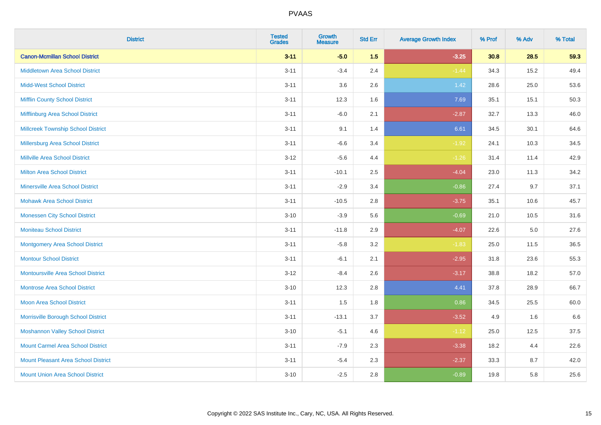| <b>District</b>                            | <b>Tested</b><br><b>Grades</b> | <b>Growth</b><br><b>Measure</b> | <b>Std Err</b> | <b>Average Growth Index</b> | % Prof | % Adv   | % Total |
|--------------------------------------------|--------------------------------|---------------------------------|----------------|-----------------------------|--------|---------|---------|
| <b>Canon-Mcmillan School District</b>      | $3 - 11$                       | $-5.0$                          | 1.5            | $-3.25$                     | 30.8   | 28.5    | 59.3    |
| <b>Middletown Area School District</b>     | $3 - 11$                       | $-3.4$                          | 2.4            | $-1.44$                     | 34.3   | 15.2    | 49.4    |
| <b>Midd-West School District</b>           | $3 - 11$                       | 3.6                             | 2.6            | 1.42                        | 28.6   | 25.0    | 53.6    |
| <b>Mifflin County School District</b>      | $3 - 11$                       | 12.3                            | 1.6            | 7.69                        | 35.1   | 15.1    | 50.3    |
| Mifflinburg Area School District           | $3 - 11$                       | $-6.0$                          | 2.1            | $-2.87$                     | 32.7   | 13.3    | 46.0    |
| <b>Millcreek Township School District</b>  | $3 - 11$                       | 9.1                             | 1.4            | 6.61                        | 34.5   | 30.1    | 64.6    |
| Millersburg Area School District           | $3 - 11$                       | $-6.6$                          | 3.4            | $-1.92$                     | 24.1   | 10.3    | 34.5    |
| <b>Millville Area School District</b>      | $3 - 12$                       | $-5.6$                          | 4.4            | $-1.26$                     | 31.4   | 11.4    | 42.9    |
| <b>Milton Area School District</b>         | $3 - 11$                       | $-10.1$                         | 2.5            | $-4.04$                     | 23.0   | 11.3    | 34.2    |
| <b>Minersville Area School District</b>    | $3 - 11$                       | $-2.9$                          | 3.4            | $-0.86$                     | 27.4   | 9.7     | 37.1    |
| <b>Mohawk Area School District</b>         | $3 - 11$                       | $-10.5$                         | 2.8            | $-3.75$                     | 35.1   | 10.6    | 45.7    |
| <b>Monessen City School District</b>       | $3 - 10$                       | $-3.9$                          | 5.6            | $-0.69$                     | 21.0   | 10.5    | 31.6    |
| <b>Moniteau School District</b>            | $3 - 11$                       | $-11.8$                         | 2.9            | $-4.07$                     | 22.6   | $5.0\,$ | 27.6    |
| <b>Montgomery Area School District</b>     | $3 - 11$                       | $-5.8$                          | 3.2            | $-1.83$                     | 25.0   | 11.5    | 36.5    |
| <b>Montour School District</b>             | $3 - 11$                       | $-6.1$                          | 2.1            | $-2.95$                     | 31.8   | 23.6    | 55.3    |
| <b>Montoursville Area School District</b>  | $3 - 12$                       | $-8.4$                          | 2.6            | $-3.17$                     | 38.8   | 18.2    | 57.0    |
| <b>Montrose Area School District</b>       | $3 - 10$                       | 12.3                            | 2.8            | 4.41                        | 37.8   | 28.9    | 66.7    |
| <b>Moon Area School District</b>           | $3 - 11$                       | 1.5                             | 1.8            | 0.86                        | 34.5   | 25.5    | 60.0    |
| Morrisville Borough School District        | $3 - 11$                       | $-13.1$                         | 3.7            | $-3.52$                     | 4.9    | 1.6     | 6.6     |
| <b>Moshannon Valley School District</b>    | $3 - 10$                       | $-5.1$                          | 4.6            | $-1.12$                     | 25.0   | 12.5    | 37.5    |
| <b>Mount Carmel Area School District</b>   | $3 - 11$                       | $-7.9$                          | 2.3            | $-3.38$                     | 18.2   | 4.4     | 22.6    |
| <b>Mount Pleasant Area School District</b> | $3 - 11$                       | $-5.4$                          | 2.3            | $-2.37$                     | 33.3   | 8.7     | 42.0    |
| <b>Mount Union Area School District</b>    | $3 - 10$                       | $-2.5$                          | 2.8            | $-0.89$                     | 19.8   | 5.8     | 25.6    |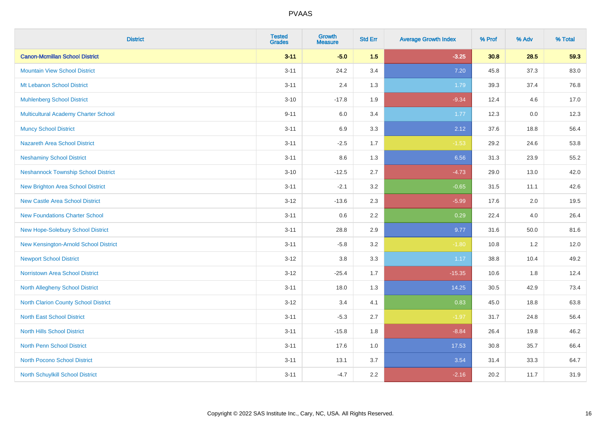| <b>District</b>                            | <b>Tested</b><br><b>Grades</b> | <b>Growth</b><br><b>Measure</b> | <b>Std Err</b> | <b>Average Growth Index</b> | % Prof | % Adv    | % Total |
|--------------------------------------------|--------------------------------|---------------------------------|----------------|-----------------------------|--------|----------|---------|
| <b>Canon-Mcmillan School District</b>      | $3 - 11$                       | $-5.0$                          | 1.5            | $-3.25$                     | 30.8   | 28.5     | 59.3    |
| <b>Mountain View School District</b>       | $3 - 11$                       | 24.2                            | 3.4            | 7.20                        | 45.8   | 37.3     | 83.0    |
| Mt Lebanon School District                 | $3 - 11$                       | 2.4                             | 1.3            | 1.79                        | 39.3   | 37.4     | 76.8    |
| <b>Muhlenberg School District</b>          | $3 - 10$                       | $-17.8$                         | 1.9            | $-9.34$                     | 12.4   | 4.6      | 17.0    |
| Multicultural Academy Charter School       | $9 - 11$                       | 6.0                             | 3.4            | 1.77                        | 12.3   | 0.0      | 12.3    |
| <b>Muncy School District</b>               | $3 - 11$                       | 6.9                             | 3.3            | 2.12                        | 37.6   | 18.8     | 56.4    |
| <b>Nazareth Area School District</b>       | $3 - 11$                       | $-2.5$                          | 1.7            | $-1.53$                     | 29.2   | 24.6     | 53.8    |
| <b>Neshaminy School District</b>           | $3 - 11$                       | 8.6                             | 1.3            | 6.56                        | 31.3   | 23.9     | 55.2    |
| <b>Neshannock Township School District</b> | $3 - 10$                       | $-12.5$                         | 2.7            | $-4.73$                     | 29.0   | 13.0     | 42.0    |
| <b>New Brighton Area School District</b>   | $3 - 11$                       | $-2.1$                          | 3.2            | $-0.65$                     | 31.5   | 11.1     | 42.6    |
| <b>New Castle Area School District</b>     | $3 - 12$                       | $-13.6$                         | 2.3            | $-5.99$                     | 17.6   | 2.0      | 19.5    |
| <b>New Foundations Charter School</b>      | $3 - 11$                       | 0.6                             | 2.2            | 0.29                        | 22.4   | 4.0      | 26.4    |
| New Hope-Solebury School District          | $3 - 11$                       | 28.8                            | 2.9            | 9.77                        | 31.6   | $50.0\,$ | 81.6    |
| New Kensington-Arnold School District      | $3 - 11$                       | $-5.8$                          | 3.2            | $-1.80$                     | 10.8   | 1.2      | 12.0    |
| <b>Newport School District</b>             | $3-12$                         | $3.8\,$                         | 3.3            | 1.17                        | 38.8   | 10.4     | 49.2    |
| <b>Norristown Area School District</b>     | $3 - 12$                       | $-25.4$                         | 1.7            | $-15.35$                    | 10.6   | 1.8      | 12.4    |
| North Allegheny School District            | $3 - 11$                       | 18.0                            | 1.3            | 14.25                       | 30.5   | 42.9     | 73.4    |
| North Clarion County School District       | $3-12$                         | 3.4                             | 4.1            | 0.83                        | 45.0   | 18.8     | 63.8    |
| <b>North East School District</b>          | $3 - 11$                       | $-5.3$                          | 2.7            | $-1.97$                     | 31.7   | 24.8     | 56.4    |
| <b>North Hills School District</b>         | $3 - 11$                       | $-15.8$                         | 1.8            | $-8.84$                     | 26.4   | 19.8     | 46.2    |
| <b>North Penn School District</b>          | $3 - 11$                       | 17.6                            | 1.0            | 17.53                       | 30.8   | 35.7     | 66.4    |
| <b>North Pocono School District</b>        | $3 - 11$                       | 13.1                            | 3.7            | 3.54                        | 31.4   | 33.3     | 64.7    |
| North Schuylkill School District           | $3 - 11$                       | $-4.7$                          | 2.2            | $-2.16$                     | 20.2   | 11.7     | 31.9    |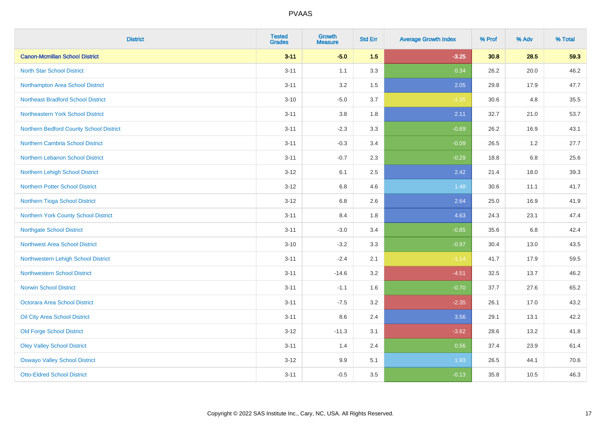| <b>District</b>                           | <b>Tested</b><br><b>Grades</b> | <b>Growth</b><br><b>Measure</b> | <b>Std Err</b> | <b>Average Growth Index</b> | % Prof | % Adv | % Total |
|-------------------------------------------|--------------------------------|---------------------------------|----------------|-----------------------------|--------|-------|---------|
| <b>Canon-Mcmillan School District</b>     | $3 - 11$                       | $-5.0$                          | 1.5            | $-3.25$                     | 30.8   | 28.5  | 59.3    |
| <b>North Star School District</b>         | $3 - 11$                       | 1.1                             | 3.3            | 0.34                        | 26.2   | 20.0  | 46.2    |
| Northampton Area School District          | $3 - 11$                       | 3.2                             | 1.5            | 2.05                        | 29.8   | 17.9  | 47.7    |
| <b>Northeast Bradford School District</b> | $3 - 10$                       | $-5.0$                          | 3.7            | $-1.35$                     | 30.6   | 4.8   | 35.5    |
| Northeastern York School District         | $3 - 11$                       | 3.8                             | 1.8            | 2.11                        | 32.7   | 21.0  | 53.7    |
| Northern Bedford County School District   | $3 - 11$                       | $-2.3$                          | 3.3            | $-0.69$                     | 26.2   | 16.9  | 43.1    |
| Northern Cambria School District          | $3 - 11$                       | $-0.3$                          | 3.4            | $-0.09$                     | 26.5   | 1.2   | 27.7    |
| <b>Northern Lebanon School District</b>   | $3 - 11$                       | $-0.7$                          | 2.3            | $-0.29$                     | 18.8   | 6.8   | 25.6    |
| Northern Lehigh School District           | $3 - 12$                       | 6.1                             | 2.5            | 2.42                        | 21.4   | 18.0  | 39.3    |
| <b>Northern Potter School District</b>    | $3 - 12$                       | 6.8                             | 4.6            | 1.48                        | 30.6   | 11.1  | 41.7    |
| Northern Tioga School District            | $3 - 12$                       | $6.8\,$                         | 2.6            | 2.64                        | 25.0   | 16.9  | 41.9    |
| Northern York County School District      | $3 - 11$                       | 8.4                             | 1.8            | 4.63                        | 24.3   | 23.1  | 47.4    |
| <b>Northgate School District</b>          | $3 - 11$                       | $-3.0$                          | 3.4            | $-0.85$                     | 35.6   | 6.8   | 42.4    |
| Northwest Area School District            | $3 - 10$                       | $-3.2$                          | 3.3            | $-0.97$                     | 30.4   | 13.0  | 43.5    |
| Northwestern Lehigh School District       | $3 - 11$                       | $-2.4$                          | 2.1            | $-1.14$                     | 41.7   | 17.9  | 59.5    |
| <b>Northwestern School District</b>       | $3 - 11$                       | $-14.6$                         | 3.2            | $-4.51$                     | 32.5   | 13.7  | 46.2    |
| <b>Norwin School District</b>             | $3 - 11$                       | $-1.1$                          | 1.6            | $-0.70$                     | 37.7   | 27.6  | 65.2    |
| <b>Octorara Area School District</b>      | $3 - 11$                       | $-7.5$                          | 3.2            | $-2.35$                     | 26.1   | 17.0  | 43.2    |
| Oil City Area School District             | $3 - 11$                       | 8.6                             | 2.4            | 3.56                        | 29.1   | 13.1  | 42.2    |
| <b>Old Forge School District</b>          | $3 - 12$                       | $-11.3$                         | 3.1            | $-3.62$                     | 28.6   | 13.2  | 41.8    |
| <b>Oley Valley School District</b>        | $3 - 11$                       | 1.4                             | 2.4            | 0.56                        | 37.4   | 23.9  | 61.4    |
| <b>Oswayo Valley School District</b>      | $3 - 12$                       | 9.9                             | 5.1            | 1.93                        | 26.5   | 44.1  | 70.6    |
| <b>Otto-Eldred School District</b>        | $3 - 11$                       | $-0.5$                          | 3.5            | $-0.13$                     | 35.8   | 10.5  | 46.3    |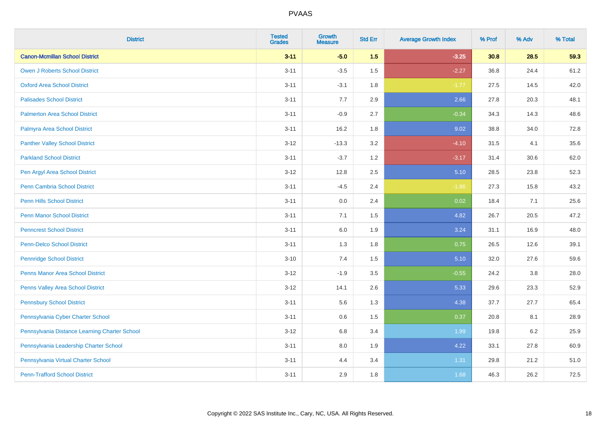| <b>District</b>                               | <b>Tested</b><br><b>Grades</b> | <b>Growth</b><br><b>Measure</b> | <b>Std Err</b> | <b>Average Growth Index</b> | % Prof | % Adv   | % Total |
|-----------------------------------------------|--------------------------------|---------------------------------|----------------|-----------------------------|--------|---------|---------|
| <b>Canon-Mcmillan School District</b>         | $3 - 11$                       | $-5.0$                          | 1.5            | $-3.25$                     | 30.8   | 28.5    | 59.3    |
| <b>Owen J Roberts School District</b>         | $3 - 11$                       | $-3.5$                          | 1.5            | $-2.27$                     | 36.8   | 24.4    | 61.2    |
| <b>Oxford Area School District</b>            | $3 - 11$                       | $-3.1$                          | 1.8            | $-1.77$                     | 27.5   | 14.5    | 42.0    |
| <b>Palisades School District</b>              | $3 - 11$                       | 7.7                             | 2.9            | 2.66                        | 27.8   | 20.3    | 48.1    |
| <b>Palmerton Area School District</b>         | $3 - 11$                       | $-0.9$                          | 2.7            | $-0.34$                     | 34.3   | 14.3    | 48.6    |
| Palmyra Area School District                  | $3 - 11$                       | 16.2                            | 1.8            | 9.02                        | 38.8   | 34.0    | 72.8    |
| <b>Panther Valley School District</b>         | $3 - 12$                       | $-13.3$                         | 3.2            | $-4.10$                     | 31.5   | 4.1     | 35.6    |
| <b>Parkland School District</b>               | $3 - 11$                       | $-3.7$                          | 1.2            | $-3.17$                     | 31.4   | 30.6    | 62.0    |
| Pen Argyl Area School District                | $3 - 12$                       | 12.8                            | 2.5            | 5.10                        | 28.5   | 23.8    | 52.3    |
| Penn Cambria School District                  | $3 - 11$                       | $-4.5$                          | 2.4            | $-1.86$                     | 27.3   | 15.8    | 43.2    |
| <b>Penn Hills School District</b>             | $3 - 11$                       | 0.0                             | 2.4            | 0.02                        | 18.4   | 7.1     | 25.6    |
| <b>Penn Manor School District</b>             | $3 - 11$                       | 7.1                             | 1.5            | 4.82                        | 26.7   | 20.5    | 47.2    |
| <b>Penncrest School District</b>              | $3 - 11$                       | 6.0                             | 1.9            | 3.24                        | 31.1   | 16.9    | 48.0    |
| <b>Penn-Delco School District</b>             | $3 - 11$                       | 1.3                             | 1.8            | 0.75                        | 26.5   | 12.6    | 39.1    |
| <b>Pennridge School District</b>              | $3 - 10$                       | 7.4                             | 1.5            | 5.10                        | 32.0   | 27.6    | 59.6    |
| <b>Penns Manor Area School District</b>       | $3 - 12$                       | $-1.9$                          | $3.5\,$        | $-0.55$                     | 24.2   | $3.8\,$ | 28.0    |
| Penns Valley Area School District             | $3 - 12$                       | 14.1                            | 2.6            | 5.33                        | 29.6   | 23.3    | 52.9    |
| <b>Pennsbury School District</b>              | $3 - 11$                       | 5.6                             | 1.3            | 4.38                        | 37.7   | 27.7    | 65.4    |
| Pennsylvania Cyber Charter School             | $3 - 11$                       | 0.6                             | 1.5            | 0.37                        | 20.8   | 8.1     | 28.9    |
| Pennsylvania Distance Learning Charter School | $3 - 12$                       | 6.8                             | 3.4            | 1.99                        | 19.8   | 6.2     | 25.9    |
| Pennsylvania Leadership Charter School        | $3 - 11$                       | 8.0                             | 1.9            | 4.22                        | 33.1   | 27.8    | 60.9    |
| Pennsylvania Virtual Charter School           | $3 - 11$                       | 4.4                             | 3.4            | 1.31                        | 29.8   | 21.2    | 51.0    |
| <b>Penn-Trafford School District</b>          | $3 - 11$                       | 2.9                             | 1.8            | 1.68                        | 46.3   | 26.2    | 72.5    |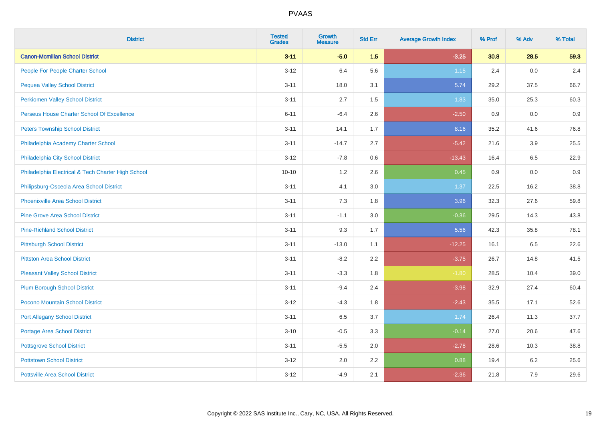| <b>District</b>                                    | <b>Tested</b><br><b>Grades</b> | <b>Growth</b><br><b>Measure</b> | <b>Std Err</b> | <b>Average Growth Index</b> | % Prof | % Adv | % Total |
|----------------------------------------------------|--------------------------------|---------------------------------|----------------|-----------------------------|--------|-------|---------|
| <b>Canon-Mcmillan School District</b>              | $3 - 11$                       | $-5.0$                          | 1.5            | $-3.25$                     | 30.8   | 28.5  | 59.3    |
| People For People Charter School                   | $3 - 12$                       | 6.4                             | 5.6            | $1.15$                      | 2.4    | 0.0   | 2.4     |
| <b>Pequea Valley School District</b>               | $3 - 11$                       | 18.0                            | 3.1            | 5.74                        | 29.2   | 37.5  | 66.7    |
| <b>Perkiomen Valley School District</b>            | $3 - 11$                       | 2.7                             | 1.5            | 1.83                        | 35.0   | 25.3  | 60.3    |
| Perseus House Charter School Of Excellence         | $6 - 11$                       | $-6.4$                          | 2.6            | $-2.50$                     | 0.9    | 0.0   | 0.9     |
| <b>Peters Township School District</b>             | $3 - 11$                       | 14.1                            | 1.7            | 8.16                        | 35.2   | 41.6  | 76.8    |
| Philadelphia Academy Charter School                | $3 - 11$                       | $-14.7$                         | 2.7            | $-5.42$                     | 21.6   | 3.9   | 25.5    |
| Philadelphia City School District                  | $3 - 12$                       | $-7.8$                          | 0.6            | $-13.43$                    | 16.4   | 6.5   | 22.9    |
| Philadelphia Electrical & Tech Charter High School | $10 - 10$                      | 1.2                             | 2.6            | 0.45                        | 0.9    | 0.0   | 0.9     |
| Philipsburg-Osceola Area School District           | $3 - 11$                       | 4.1                             | 3.0            | 1.37                        | 22.5   | 16.2  | 38.8    |
| <b>Phoenixville Area School District</b>           | $3 - 11$                       | 7.3                             | 1.8            | 3.96                        | 32.3   | 27.6  | 59.8    |
| <b>Pine Grove Area School District</b>             | $3 - 11$                       | $-1.1$                          | 3.0            | $-0.36$                     | 29.5   | 14.3  | 43.8    |
| <b>Pine-Richland School District</b>               | $3 - 11$                       | 9.3                             | 1.7            | 5.56                        | 42.3   | 35.8  | 78.1    |
| <b>Pittsburgh School District</b>                  | $3 - 11$                       | $-13.0$                         | 1.1            | $-12.25$                    | 16.1   | 6.5   | 22.6    |
| <b>Pittston Area School District</b>               | $3 - 11$                       | $-8.2$                          | 2.2            | $-3.75$                     | 26.7   | 14.8  | 41.5    |
| <b>Pleasant Valley School District</b>             | $3 - 11$                       | $-3.3$                          | 1.8            | $-1.80$                     | 28.5   | 10.4  | 39.0    |
| <b>Plum Borough School District</b>                | $3 - 11$                       | $-9.4$                          | 2.4            | $-3.98$                     | 32.9   | 27.4  | 60.4    |
| Pocono Mountain School District                    | $3 - 12$                       | $-4.3$                          | 1.8            | $-2.43$                     | 35.5   | 17.1  | 52.6    |
| <b>Port Allegany School District</b>               | $3 - 11$                       | 6.5                             | 3.7            | 1.74                        | 26.4   | 11.3  | 37.7    |
| <b>Portage Area School District</b>                | $3 - 10$                       | $-0.5$                          | 3.3            | $-0.14$                     | 27.0   | 20.6  | 47.6    |
| <b>Pottsgrove School District</b>                  | $3 - 11$                       | $-5.5$                          | 2.0            | $-2.78$                     | 28.6   | 10.3  | 38.8    |
| <b>Pottstown School District</b>                   | $3 - 12$                       | 2.0                             | 2.2            | 0.88                        | 19.4   | 6.2   | 25.6    |
| <b>Pottsville Area School District</b>             | $3 - 12$                       | $-4.9$                          | 2.1            | $-2.36$                     | 21.8   | 7.9   | 29.6    |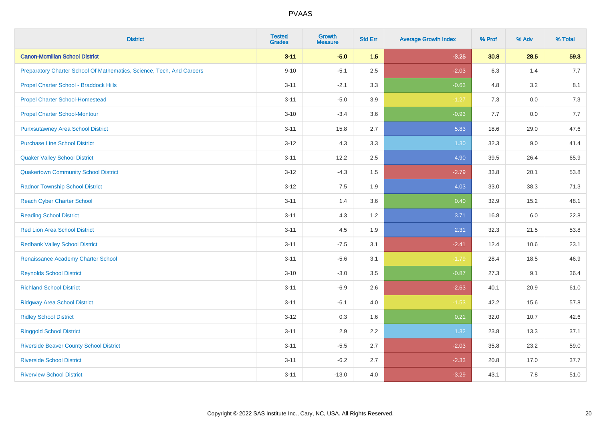| <b>District</b>                                                       | <b>Tested</b><br><b>Grades</b> | <b>Growth</b><br><b>Measure</b> | <b>Std Err</b> | <b>Average Growth Index</b> | % Prof | % Adv   | % Total |
|-----------------------------------------------------------------------|--------------------------------|---------------------------------|----------------|-----------------------------|--------|---------|---------|
| <b>Canon-Mcmillan School District</b>                                 | $3 - 11$                       | $-5.0$                          | 1.5            | $-3.25$                     | 30.8   | 28.5    | 59.3    |
| Preparatory Charter School Of Mathematics, Science, Tech, And Careers | $9 - 10$                       | $-5.1$                          | 2.5            | $-2.03$                     | 6.3    | 1.4     | 7.7     |
| Propel Charter School - Braddock Hills                                | $3 - 11$                       | $-2.1$                          | 3.3            | $-0.63$                     | 4.8    | 3.2     | 8.1     |
| <b>Propel Charter School-Homestead</b>                                | $3 - 11$                       | $-5.0$                          | 3.9            | $-1.27$                     | 7.3    | $0.0\,$ | 7.3     |
| <b>Propel Charter School-Montour</b>                                  | $3 - 10$                       | $-3.4$                          | 3.6            | $-0.93$                     | 7.7    | 0.0     | 7.7     |
| <b>Punxsutawney Area School District</b>                              | $3 - 11$                       | 15.8                            | 2.7            | 5.83                        | 18.6   | 29.0    | 47.6    |
| <b>Purchase Line School District</b>                                  | $3 - 12$                       | 4.3                             | 3.3            | 1.30                        | 32.3   | 9.0     | 41.4    |
| <b>Quaker Valley School District</b>                                  | $3 - 11$                       | 12.2                            | 2.5            | 4.90                        | 39.5   | 26.4    | 65.9    |
| <b>Quakertown Community School District</b>                           | $3 - 12$                       | $-4.3$                          | 1.5            | $-2.79$                     | 33.8   | 20.1    | 53.8    |
| <b>Radnor Township School District</b>                                | $3 - 12$                       | 7.5                             | 1.9            | 4.03                        | 33.0   | 38.3    | 71.3    |
| <b>Reach Cyber Charter School</b>                                     | $3 - 11$                       | 1.4                             | 3.6            | 0.40                        | 32.9   | 15.2    | 48.1    |
| <b>Reading School District</b>                                        | $3 - 11$                       | 4.3                             | 1.2            | 3.71                        | 16.8   | 6.0     | 22.8    |
| Red Lion Area School District                                         | $3 - 11$                       | 4.5                             | 1.9            | 2.31                        | 32.3   | 21.5    | 53.8    |
| <b>Redbank Valley School District</b>                                 | $3 - 11$                       | $-7.5$                          | 3.1            | $-2.41$                     | 12.4   | 10.6    | 23.1    |
| Renaissance Academy Charter School                                    | $3 - 11$                       | $-5.6$                          | 3.1            | $-1.79$                     | 28.4   | 18.5    | 46.9    |
| <b>Reynolds School District</b>                                       | $3 - 10$                       | $-3.0$                          | 3.5            | $-0.87$                     | 27.3   | 9.1     | 36.4    |
| <b>Richland School District</b>                                       | $3 - 11$                       | $-6.9$                          | 2.6            | $-2.63$                     | 40.1   | 20.9    | 61.0    |
| <b>Ridgway Area School District</b>                                   | $3 - 11$                       | $-6.1$                          | 4.0            | $-1.53$                     | 42.2   | 15.6    | 57.8    |
| <b>Ridley School District</b>                                         | $3 - 12$                       | 0.3                             | 1.6            | 0.21                        | 32.0   | 10.7    | 42.6    |
| <b>Ringgold School District</b>                                       | $3 - 11$                       | 2.9                             | 2.2            | 1.32                        | 23.8   | 13.3    | 37.1    |
| <b>Riverside Beaver County School District</b>                        | $3 - 11$                       | $-5.5$                          | 2.7            | $-2.03$                     | 35.8   | 23.2    | 59.0    |
| <b>Riverside School District</b>                                      | $3 - 11$                       | $-6.2$                          | 2.7            | $-2.33$                     | 20.8   | 17.0    | 37.7    |
| <b>Riverview School District</b>                                      | $3 - 11$                       | $-13.0$                         | 4.0            | $-3.29$                     | 43.1   | 7.8     | 51.0    |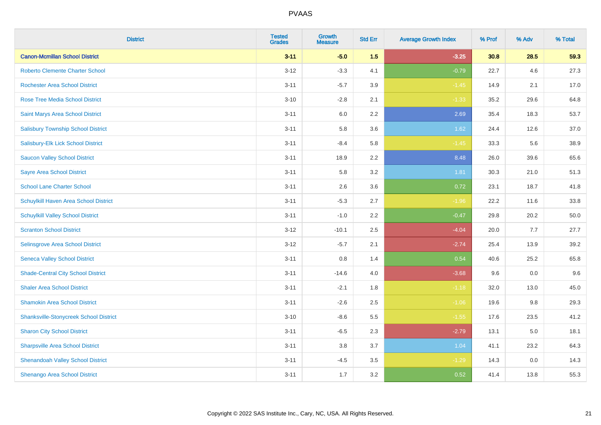| <b>District</b>                               | <b>Tested</b><br><b>Grades</b> | <b>Growth</b><br><b>Measure</b> | <b>Std Err</b> | <b>Average Growth Index</b> | % Prof | % Adv | % Total |
|-----------------------------------------------|--------------------------------|---------------------------------|----------------|-----------------------------|--------|-------|---------|
| <b>Canon-Mcmillan School District</b>         | $3 - 11$                       | $-5.0$                          | 1.5            | $-3.25$                     | 30.8   | 28.5  | 59.3    |
| <b>Roberto Clemente Charter School</b>        | $3 - 12$                       | $-3.3$                          | 4.1            | $-0.79$                     | 22.7   | 4.6   | 27.3    |
| <b>Rochester Area School District</b>         | $3 - 11$                       | $-5.7$                          | 3.9            | $-1.45$                     | 14.9   | 2.1   | 17.0    |
| Rose Tree Media School District               | $3 - 10$                       | $-2.8$                          | 2.1            | $-1.33$                     | 35.2   | 29.6  | 64.8    |
| Saint Marys Area School District              | $3 - 11$                       | 6.0                             | 2.2            | 2.69                        | 35.4   | 18.3  | 53.7    |
| <b>Salisbury Township School District</b>     | $3 - 11$                       | 5.8                             | 3.6            | 1.62                        | 24.4   | 12.6  | 37.0    |
| Salisbury-Elk Lick School District            | $3 - 11$                       | $-8.4$                          | 5.8            | $-1.45$                     | 33.3   | 5.6   | 38.9    |
| <b>Saucon Valley School District</b>          | $3 - 11$                       | 18.9                            | 2.2            | 8.48                        | 26.0   | 39.6  | 65.6    |
| <b>Sayre Area School District</b>             | $3 - 11$                       | 5.8                             | 3.2            | 1.81                        | 30.3   | 21.0  | 51.3    |
| <b>School Lane Charter School</b>             | $3 - 11$                       | 2.6                             | 3.6            | 0.72                        | 23.1   | 18.7  | 41.8    |
| Schuylkill Haven Area School District         | $3 - 11$                       | $-5.3$                          | 2.7            | $-1.96$                     | 22.2   | 11.6  | 33.8    |
| <b>Schuylkill Valley School District</b>      | $3 - 11$                       | $-1.0$                          | 2.2            | $-0.47$                     | 29.8   | 20.2  | 50.0    |
| <b>Scranton School District</b>               | $3 - 12$                       | $-10.1$                         | 2.5            | $-4.04$                     | 20.0   | 7.7   | 27.7    |
| Selinsgrove Area School District              | $3 - 12$                       | $-5.7$                          | 2.1            | $-2.74$                     | 25.4   | 13.9  | 39.2    |
| <b>Seneca Valley School District</b>          | $3 - 11$                       | $0.8\,$                         | 1.4            | 0.54                        | 40.6   | 25.2  | 65.8    |
| <b>Shade-Central City School District</b>     | $3 - 11$                       | $-14.6$                         | 4.0            | $-3.68$                     | 9.6    | 0.0   | 9.6     |
| <b>Shaler Area School District</b>            | $3 - 11$                       | $-2.1$                          | 1.8            | $-1.18$                     | 32.0   | 13.0  | 45.0    |
| <b>Shamokin Area School District</b>          | $3 - 11$                       | $-2.6$                          | 2.5            | $-1.06$                     | 19.6   | 9.8   | 29.3    |
| <b>Shanksville-Stonycreek School District</b> | $3 - 10$                       | $-8.6$                          | 5.5            | $-1.55$                     | 17.6   | 23.5  | 41.2    |
| <b>Sharon City School District</b>            | $3 - 11$                       | $-6.5$                          | 2.3            | $-2.79$                     | 13.1   | 5.0   | 18.1    |
| <b>Sharpsville Area School District</b>       | $3 - 11$                       | 3.8                             | 3.7            | 1.04                        | 41.1   | 23.2  | 64.3    |
| <b>Shenandoah Valley School District</b>      | $3 - 11$                       | $-4.5$                          | 3.5            | $-1.29$                     | 14.3   | 0.0   | 14.3    |
| Shenango Area School District                 | $3 - 11$                       | 1.7                             | 3.2            | 0.52                        | 41.4   | 13.8  | 55.3    |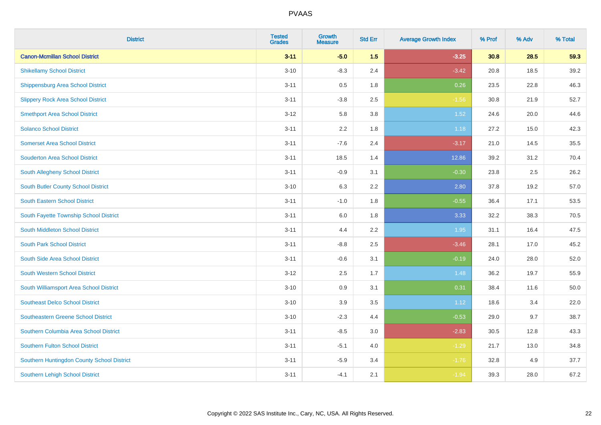| <b>District</b>                            | <b>Tested</b><br><b>Grades</b> | <b>Growth</b><br><b>Measure</b> | <b>Std Err</b> | <b>Average Growth Index</b> | % Prof | % Adv | % Total |
|--------------------------------------------|--------------------------------|---------------------------------|----------------|-----------------------------|--------|-------|---------|
| <b>Canon-Mcmillan School District</b>      | $3 - 11$                       | $-5.0$                          | 1.5            | $-3.25$                     | 30.8   | 28.5  | 59.3    |
| <b>Shikellamy School District</b>          | $3 - 10$                       | $-8.3$                          | 2.4            | $-3.42$                     | 20.8   | 18.5  | 39.2    |
| <b>Shippensburg Area School District</b>   | $3 - 11$                       | 0.5                             | 1.8            | 0.26                        | 23.5   | 22.8  | 46.3    |
| <b>Slippery Rock Area School District</b>  | $3 - 11$                       | $-3.8$                          | 2.5            | $-1.56$                     | 30.8   | 21.9  | 52.7    |
| <b>Smethport Area School District</b>      | $3 - 12$                       | 5.8                             | 3.8            | 1.52                        | 24.6   | 20.0  | 44.6    |
| <b>Solanco School District</b>             | $3 - 11$                       | 2.2                             | 1.8            | 1.18                        | 27.2   | 15.0  | 42.3    |
| <b>Somerset Area School District</b>       | $3 - 11$                       | $-7.6$                          | 2.4            | $-3.17$                     | 21.0   | 14.5  | 35.5    |
| <b>Souderton Area School District</b>      | $3 - 11$                       | 18.5                            | 1.4            | 12.86                       | 39.2   | 31.2  | 70.4    |
| South Allegheny School District            | $3 - 11$                       | $-0.9$                          | 3.1            | $-0.30$                     | 23.8   | 2.5   | 26.2    |
| South Butler County School District        | $3 - 10$                       | 6.3                             | 2.2            | 2.80                        | 37.8   | 19.2  | 57.0    |
| <b>South Eastern School District</b>       | $3 - 11$                       | $-1.0$                          | 1.8            | $-0.55$                     | 36.4   | 17.1  | 53.5    |
| South Fayette Township School District     | $3 - 11$                       | 6.0                             | 1.8            | 3.33                        | 32.2   | 38.3  | 70.5    |
| South Middleton School District            | $3 - 11$                       | 4.4                             | 2.2            | 1.95                        | 31.1   | 16.4  | 47.5    |
| <b>South Park School District</b>          | $3 - 11$                       | $-8.8$                          | 2.5            | $-3.46$                     | 28.1   | 17.0  | 45.2    |
| South Side Area School District            | $3 - 11$                       | $-0.6$                          | 3.1            | $-0.19$                     | 24.0   | 28.0  | 52.0    |
| <b>South Western School District</b>       | $3 - 12$                       | 2.5                             | 1.7            | 1.48                        | 36.2   | 19.7  | 55.9    |
| South Williamsport Area School District    | $3 - 10$                       | 0.9                             | 3.1            | 0.31                        | 38.4   | 11.6  | 50.0    |
| <b>Southeast Delco School District</b>     | $3 - 10$                       | 3.9                             | 3.5            | 1.12                        | 18.6   | 3.4   | 22.0    |
| <b>Southeastern Greene School District</b> | $3 - 10$                       | $-2.3$                          | 4.4            | $-0.53$                     | 29.0   | 9.7   | 38.7    |
| Southern Columbia Area School District     | $3 - 11$                       | $-8.5$                          | 3.0            | $-2.83$                     | 30.5   | 12.8  | 43.3    |
| <b>Southern Fulton School District</b>     | $3 - 11$                       | $-5.1$                          | 4.0            | $-1.29$                     | 21.7   | 13.0  | 34.8    |
| Southern Huntingdon County School District | $3 - 11$                       | $-5.9$                          | 3.4            | $-1.76$                     | 32.8   | 4.9   | 37.7    |
| <b>Southern Lehigh School District</b>     | $3 - 11$                       | $-4.1$                          | 2.1            | $-1.94$                     | 39.3   | 28.0  | 67.2    |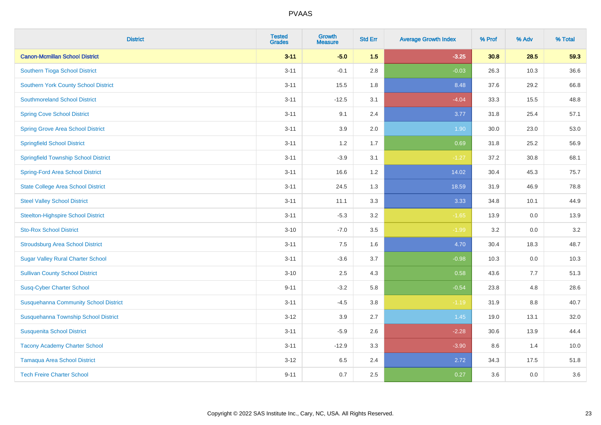| <b>District</b>                              | <b>Tested</b><br><b>Grades</b> | <b>Growth</b><br><b>Measure</b> | <b>Std Err</b> | <b>Average Growth Index</b> | % Prof | % Adv | % Total |
|----------------------------------------------|--------------------------------|---------------------------------|----------------|-----------------------------|--------|-------|---------|
| <b>Canon-Mcmillan School District</b>        | $3 - 11$                       | $-5.0$                          | 1.5            | $-3.25$                     | 30.8   | 28.5  | 59.3    |
| Southern Tioga School District               | $3 - 11$                       | $-0.1$                          | 2.8            | $-0.03$                     | 26.3   | 10.3  | 36.6    |
| <b>Southern York County School District</b>  | $3 - 11$                       | 15.5                            | 1.8            | 8.48                        | 37.6   | 29.2  | 66.8    |
| <b>Southmoreland School District</b>         | $3 - 11$                       | $-12.5$                         | 3.1            | $-4.04$                     | 33.3   | 15.5  | 48.8    |
| <b>Spring Cove School District</b>           | $3 - 11$                       | 9.1                             | 2.4            | 3.77                        | 31.8   | 25.4  | 57.1    |
| <b>Spring Grove Area School District</b>     | $3 - 11$                       | 3.9                             | 2.0            | 1.90                        | 30.0   | 23.0  | 53.0    |
| <b>Springfield School District</b>           | $3 - 11$                       | 1.2                             | 1.7            | 0.69                        | 31.8   | 25.2  | 56.9    |
| <b>Springfield Township School District</b>  | $3 - 11$                       | $-3.9$                          | 3.1            | $-1.27$                     | 37.2   | 30.8  | 68.1    |
| <b>Spring-Ford Area School District</b>      | $3 - 11$                       | 16.6                            | 1.2            | 14.02                       | 30.4   | 45.3  | 75.7    |
| <b>State College Area School District</b>    | $3 - 11$                       | 24.5                            | 1.3            | 18.59                       | 31.9   | 46.9  | 78.8    |
| <b>Steel Valley School District</b>          | $3 - 11$                       | 11.1                            | 3.3            | 3.33                        | 34.8   | 10.1  | 44.9    |
| <b>Steelton-Highspire School District</b>    | $3 - 11$                       | $-5.3$                          | 3.2            | $-1.65$                     | 13.9   | 0.0   | 13.9    |
| <b>Sto-Rox School District</b>               | $3 - 10$                       | $-7.0$                          | 3.5            | $-1.99$                     | 3.2    | 0.0   | 3.2     |
| <b>Stroudsburg Area School District</b>      | $3 - 11$                       | $7.5\,$                         | 1.6            | 4.70                        | 30.4   | 18.3  | 48.7    |
| <b>Sugar Valley Rural Charter School</b>     | $3 - 11$                       | $-3.6$                          | 3.7            | $-0.98$                     | 10.3   | 0.0   | 10.3    |
| <b>Sullivan County School District</b>       | $3 - 10$                       | 2.5                             | 4.3            | 0.58                        | 43.6   | 7.7   | 51.3    |
| <b>Susq-Cyber Charter School</b>             | $9 - 11$                       | $-3.2$                          | 5.8            | $-0.54$                     | 23.8   | 4.8   | 28.6    |
| <b>Susquehanna Community School District</b> | $3 - 11$                       | $-4.5$                          | 3.8            | $-1.19$                     | 31.9   | 8.8   | 40.7    |
| Susquehanna Township School District         | $3 - 12$                       | 3.9                             | 2.7            | $1.45$                      | 19.0   | 13.1  | 32.0    |
| <b>Susquenita School District</b>            | $3 - 11$                       | $-5.9$                          | 2.6            | $-2.28$                     | 30.6   | 13.9  | 44.4    |
| <b>Tacony Academy Charter School</b>         | $3 - 11$                       | $-12.9$                         | 3.3            | $-3.90$                     | 8.6    | 1.4   | 10.0    |
| <b>Tamaqua Area School District</b>          | $3 - 12$                       | 6.5                             | 2.4            | 2.72                        | 34.3   | 17.5  | 51.8    |
| <b>Tech Freire Charter School</b>            | $9 - 11$                       | 0.7                             | 2.5            | 0.27                        | 3.6    | 0.0   | 3.6     |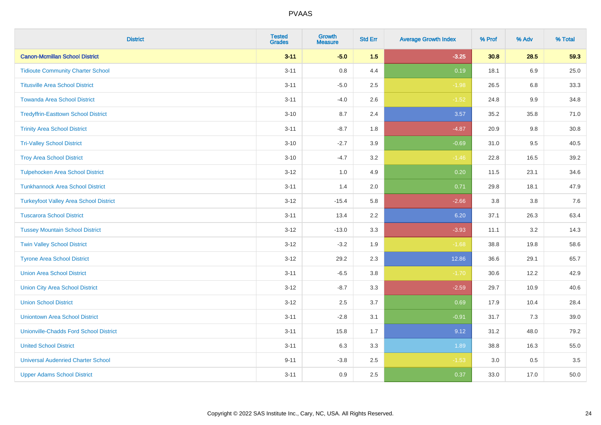| <b>District</b>                               | <b>Tested</b><br><b>Grades</b> | <b>Growth</b><br><b>Measure</b> | <b>Std Err</b> | <b>Average Growth Index</b> | % Prof | % Adv   | % Total |
|-----------------------------------------------|--------------------------------|---------------------------------|----------------|-----------------------------|--------|---------|---------|
| <b>Canon-Mcmillan School District</b>         | $3 - 11$                       | $-5.0$                          | 1.5            | $-3.25$                     | 30.8   | 28.5    | 59.3    |
| <b>Tidioute Community Charter School</b>      | $3 - 11$                       | $0.8\,$                         | 4.4            | 0.19                        | 18.1   | 6.9     | 25.0    |
| <b>Titusville Area School District</b>        | $3 - 11$                       | $-5.0$                          | 2.5            | $-1.98$                     | 26.5   | 6.8     | 33.3    |
| <b>Towanda Area School District</b>           | $3 - 11$                       | $-4.0$                          | 2.6            | $-1.52$                     | 24.8   | $9.9\,$ | 34.8    |
| <b>Tredyffrin-Easttown School District</b>    | $3 - 10$                       | 8.7                             | 2.4            | 3.57                        | 35.2   | 35.8    | 71.0    |
| <b>Trinity Area School District</b>           | $3 - 11$                       | $-8.7$                          | 1.8            | $-4.87$                     | 20.9   | 9.8     | 30.8    |
| <b>Tri-Valley School District</b>             | $3 - 10$                       | $-2.7$                          | 3.9            | $-0.69$                     | 31.0   | 9.5     | 40.5    |
| <b>Troy Area School District</b>              | $3 - 10$                       | $-4.7$                          | 3.2            | $-1.46$                     | 22.8   | 16.5    | 39.2    |
| <b>Tulpehocken Area School District</b>       | $3 - 12$                       | 1.0                             | 4.9            | 0.20                        | 11.5   | 23.1    | 34.6    |
| <b>Tunkhannock Area School District</b>       | $3 - 11$                       | 1.4                             | 2.0            | 0.71                        | 29.8   | 18.1    | 47.9    |
| <b>Turkeyfoot Valley Area School District</b> | $3 - 12$                       | $-15.4$                         | 5.8            | $-2.66$                     | 3.8    | 3.8     | 7.6     |
| <b>Tuscarora School District</b>              | $3 - 11$                       | 13.4                            | 2.2            | 6.20                        | 37.1   | 26.3    | 63.4    |
| <b>Tussey Mountain School District</b>        | $3 - 12$                       | $-13.0$                         | 3.3            | $-3.93$                     | 11.1   | $3.2\,$ | 14.3    |
| <b>Twin Valley School District</b>            | $3 - 12$                       | $-3.2$                          | 1.9            | $-1.68$                     | 38.8   | 19.8    | 58.6    |
| <b>Tyrone Area School District</b>            | $3 - 12$                       | 29.2                            | 2.3            | 12.86                       | 36.6   | 29.1    | 65.7    |
| <b>Union Area School District</b>             | $3 - 11$                       | $-6.5$                          | 3.8            | $-1.70$                     | 30.6   | 12.2    | 42.9    |
| <b>Union City Area School District</b>        | $3 - 12$                       | $-8.7$                          | 3.3            | $-2.59$                     | 29.7   | 10.9    | 40.6    |
| <b>Union School District</b>                  | $3 - 12$                       | 2.5                             | 3.7            | 0.69                        | 17.9   | 10.4    | 28.4    |
| <b>Uniontown Area School District</b>         | $3 - 11$                       | $-2.8$                          | 3.1            | $-0.91$                     | 31.7   | 7.3     | 39.0    |
| <b>Unionville-Chadds Ford School District</b> | $3 - 11$                       | 15.8                            | 1.7            | 9.12                        | 31.2   | 48.0    | 79.2    |
| <b>United School District</b>                 | $3 - 11$                       | 6.3                             | 3.3            | 1.89                        | 38.8   | 16.3    | 55.0    |
| <b>Universal Audenried Charter School</b>     | $9 - 11$                       | $-3.8$                          | 2.5            | $-1.53$                     | 3.0    | 0.5     | 3.5     |
| <b>Upper Adams School District</b>            | $3 - 11$                       | 0.9                             | 2.5            | 0.37                        | 33.0   | 17.0    | 50.0    |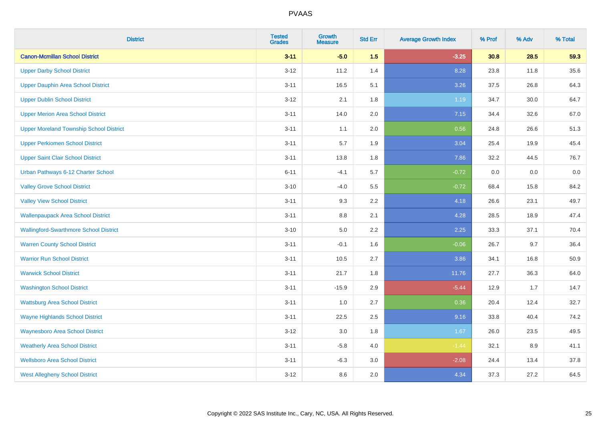| <b>District</b>                                | <b>Tested</b><br><b>Grades</b> | <b>Growth</b><br><b>Measure</b> | <b>Std Err</b> | <b>Average Growth Index</b> | % Prof | % Adv | % Total |
|------------------------------------------------|--------------------------------|---------------------------------|----------------|-----------------------------|--------|-------|---------|
| <b>Canon-Mcmillan School District</b>          | $3 - 11$                       | $-5.0$                          | 1.5            | $-3.25$                     | 30.8   | 28.5  | 59.3    |
| <b>Upper Darby School District</b>             | $3 - 12$                       | 11.2                            | 1.4            | 8.28                        | 23.8   | 11.8  | 35.6    |
| <b>Upper Dauphin Area School District</b>      | $3 - 11$                       | 16.5                            | 5.1            | 3.26                        | 37.5   | 26.8  | 64.3    |
| <b>Upper Dublin School District</b>            | $3 - 12$                       | 2.1                             | 1.8            | 1.19                        | 34.7   | 30.0  | 64.7    |
| <b>Upper Merion Area School District</b>       | $3 - 11$                       | 14.0                            | 2.0            | 7.15                        | 34.4   | 32.6  | 67.0    |
| <b>Upper Moreland Township School District</b> | $3 - 11$                       | 1.1                             | 2.0            | 0.56                        | 24.8   | 26.6  | 51.3    |
| <b>Upper Perkiomen School District</b>         | $3 - 11$                       | 5.7                             | 1.9            | 3.04                        | 25.4   | 19.9  | 45.4    |
| <b>Upper Saint Clair School District</b>       | $3 - 11$                       | 13.8                            | 1.8            | 7.86                        | 32.2   | 44.5  | 76.7    |
| Urban Pathways 6-12 Charter School             | $6 - 11$                       | $-4.1$                          | 5.7            | $-0.72$                     | 0.0    | 0.0   | $0.0\,$ |
| <b>Valley Grove School District</b>            | $3 - 10$                       | $-4.0$                          | 5.5            | $-0.72$                     | 68.4   | 15.8  | 84.2    |
| <b>Valley View School District</b>             | $3 - 11$                       | 9.3                             | 2.2            | 4.18                        | 26.6   | 23.1  | 49.7    |
| <b>Wallenpaupack Area School District</b>      | $3 - 11$                       | 8.8                             | 2.1            | 4.28                        | 28.5   | 18.9  | 47.4    |
| <b>Wallingford-Swarthmore School District</b>  | $3 - 10$                       | $5.0\,$                         | 2.2            | 2.25                        | 33.3   | 37.1  | 70.4    |
| <b>Warren County School District</b>           | $3 - 11$                       | $-0.1$                          | 1.6            | $-0.06$                     | 26.7   | 9.7   | 36.4    |
| <b>Warrior Run School District</b>             | $3 - 11$                       | 10.5                            | 2.7            | 3.86                        | 34.1   | 16.8  | 50.9    |
| <b>Warwick School District</b>                 | $3 - 11$                       | 21.7                            | 1.8            | 11.76                       | 27.7   | 36.3  | 64.0    |
| <b>Washington School District</b>              | $3 - 11$                       | $-15.9$                         | 2.9            | $-5.44$                     | 12.9   | 1.7   | 14.7    |
| <b>Wattsburg Area School District</b>          | $3 - 11$                       | 1.0                             | 2.7            | 0.36                        | 20.4   | 12.4  | 32.7    |
| <b>Wayne Highlands School District</b>         | $3 - 11$                       | 22.5                            | 2.5            | 9.16                        | 33.8   | 40.4  | 74.2    |
| <b>Waynesboro Area School District</b>         | $3 - 12$                       | 3.0                             | 1.8            | 1.67                        | 26.0   | 23.5  | 49.5    |
| <b>Weatherly Area School District</b>          | $3 - 11$                       | $-5.8$                          | 4.0            | $-1.44$                     | 32.1   | 8.9   | 41.1    |
| <b>Wellsboro Area School District</b>          | $3 - 11$                       | $-6.3$                          | 3.0            | $-2.08$                     | 24.4   | 13.4  | 37.8    |
| <b>West Allegheny School District</b>          | $3 - 12$                       | 8.6                             | 2.0            | 4.34                        | 37.3   | 27.2  | 64.5    |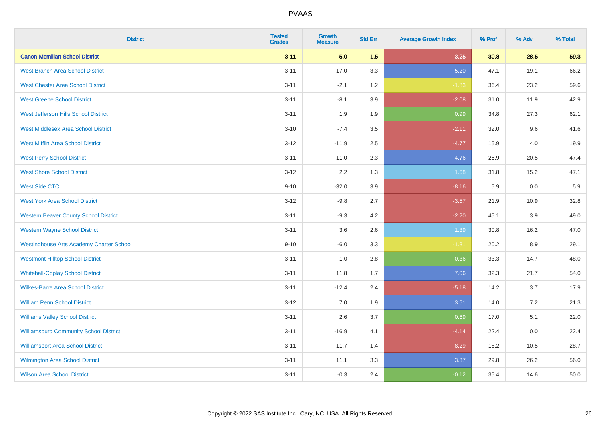| <b>District</b>                                 | <b>Tested</b><br><b>Grades</b> | <b>Growth</b><br><b>Measure</b> | <b>Std Err</b> | <b>Average Growth Index</b> | % Prof | % Adv | % Total |
|-------------------------------------------------|--------------------------------|---------------------------------|----------------|-----------------------------|--------|-------|---------|
| <b>Canon-Mcmillan School District</b>           | $3 - 11$                       | $-5.0$                          | 1.5            | $-3.25$                     | 30.8   | 28.5  | 59.3    |
| <b>West Branch Area School District</b>         | $3 - 11$                       | 17.0                            | 3.3            | 5.20                        | 47.1   | 19.1  | 66.2    |
| <b>West Chester Area School District</b>        | $3 - 11$                       | $-2.1$                          | 1.2            | $-1.83$                     | 36.4   | 23.2  | 59.6    |
| <b>West Greene School District</b>              | $3 - 11$                       | $-8.1$                          | 3.9            | $-2.08$                     | 31.0   | 11.9  | 42.9    |
| West Jefferson Hills School District            | $3 - 11$                       | 1.9                             | 1.9            | 0.99                        | 34.8   | 27.3  | 62.1    |
| <b>West Middlesex Area School District</b>      | $3 - 10$                       | $-7.4$                          | 3.5            | $-2.11$                     | 32.0   | 9.6   | 41.6    |
| <b>West Mifflin Area School District</b>        | $3 - 12$                       | $-11.9$                         | 2.5            | $-4.77$                     | 15.9   | 4.0   | 19.9    |
| <b>West Perry School District</b>               | $3 - 11$                       | 11.0                            | 2.3            | 4.76                        | 26.9   | 20.5  | 47.4    |
| <b>West Shore School District</b>               | $3 - 12$                       | 2.2                             | 1.3            | 1.68                        | 31.8   | 15.2  | 47.1    |
| <b>West Side CTC</b>                            | $9 - 10$                       | $-32.0$                         | 3.9            | $-8.16$                     | 5.9    | 0.0   | 5.9     |
| <b>West York Area School District</b>           | $3 - 12$                       | $-9.8$                          | 2.7            | $-3.57$                     | 21.9   | 10.9  | 32.8    |
| <b>Western Beaver County School District</b>    | $3 - 11$                       | $-9.3$                          | 4.2            | $-2.20$                     | 45.1   | 3.9   | 49.0    |
| <b>Western Wayne School District</b>            | $3 - 11$                       | 3.6                             | 2.6            | 1.39                        | 30.8   | 16.2  | 47.0    |
| <b>Westinghouse Arts Academy Charter School</b> | $9 - 10$                       | $-6.0$                          | 3.3            | $-1.81$                     | 20.2   | 8.9   | 29.1    |
| <b>Westmont Hilltop School District</b>         | $3 - 11$                       | $-1.0$                          | 2.8            | $-0.36$                     | 33.3   | 14.7  | 48.0    |
| <b>Whitehall-Coplay School District</b>         | $3 - 11$                       | 11.8                            | 1.7            | 7.06                        | 32.3   | 21.7  | 54.0    |
| <b>Wilkes-Barre Area School District</b>        | $3 - 11$                       | $-12.4$                         | 2.4            | $-5.18$                     | 14.2   | 3.7   | 17.9    |
| <b>William Penn School District</b>             | $3 - 12$                       | 7.0                             | 1.9            | 3.61                        | 14.0   | 7.2   | 21.3    |
| <b>Williams Valley School District</b>          | $3 - 11$                       | 2.6                             | 3.7            | 0.69                        | 17.0   | 5.1   | 22.0    |
| <b>Williamsburg Community School District</b>   | $3 - 11$                       | $-16.9$                         | 4.1            | $-4.14$                     | 22.4   | 0.0   | 22.4    |
| <b>Williamsport Area School District</b>        | $3 - 11$                       | $-11.7$                         | 1.4            | $-8.29$                     | 18.2   | 10.5  | 28.7    |
| <b>Wilmington Area School District</b>          | $3 - 11$                       | 11.1                            | 3.3            | 3.37                        | 29.8   | 26.2  | 56.0    |
| <b>Wilson Area School District</b>              | $3 - 11$                       | $-0.3$                          | 2.4            | $-0.12$                     | 35.4   | 14.6  | 50.0    |